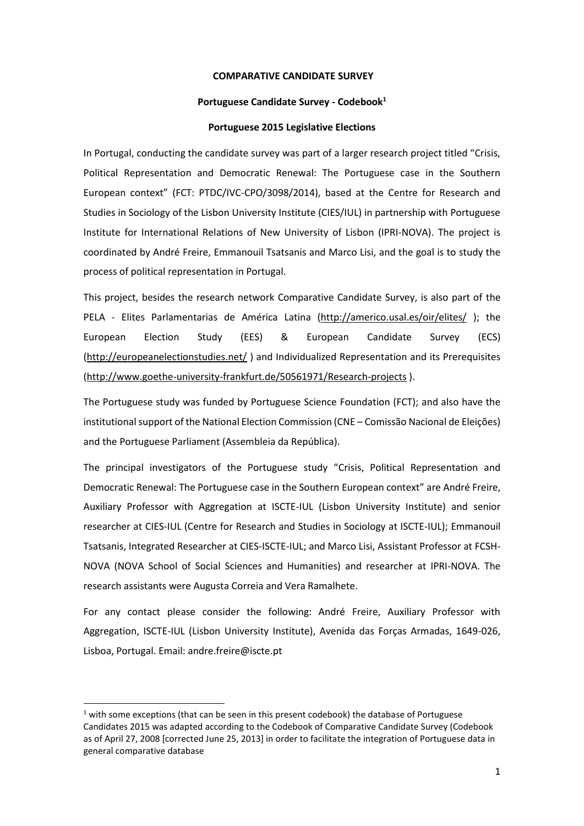#### **COMPARATIVE CANDIDATE SURVEY**

#### **Portuguese Candidate Survey - Codebook<sup>1</sup>**

#### **Portuguese 2015 Legislative Elections**

In Portugal, conducting the candidate survey was part of a larger research project titled "Crisis, Political Representation and Democratic Renewal: The Portuguese case in the Southern European context" (FCT: PTDC/IVC-CPO/3098/2014), based at the Centre for Research and Studies in Sociology of the Lisbon University Institute (CIES/IUL) in partnership with Portuguese Institute for International Relations of New University of Lisbon (IPRI-NOVA). The project is coordinated by André Freire, Emmanouil Tsatsanis and Marco Lisi, and the goal is to study the process of political representation in Portugal.

This project, besides the research network Comparative Candidate Survey, is also part of the PELA - Elites Parlamentarias de América Latina [\(http://americo.usal.es/oir/elites/](http://americo.usal.es/oir/elites/) ); the European Election Study (EES) & European Candidate Survey (ECS) [\(http://europeanelectionstudies.net/](http://europeanelectionstudies.net/) ) and Individualized Representation and its Prerequisites [\(http://www.goethe-university-frankfurt.de/50561971/Research-projects](http://www.goethe-university-frankfurt.de/50561971/Research-projects) ).

The Portuguese study was funded by Portuguese Science Foundation (FCT); and also have the institutional support of the National Election Commission (CNE – Comissão Nacional de Eleições) and the Portuguese Parliament (Assembleia da República).

The principal investigators of the Portuguese study "Crisis, Political Representation and Democratic Renewal: The Portuguese case in the Southern European context" are André Freire, Auxiliary Professor with Aggregation at ISCTE-IUL (Lisbon University Institute) and senior researcher at CIES-IUL (Centre for Research and Studies in Sociology at ISCTE-IUL); Emmanouil Tsatsanis, Integrated Researcher at CIES-ISCTE-IUL; and Marco Lisi, Assistant Professor at FCSH-NOVA (NOVA School of Social Sciences and Humanities) and researcher at IPRI-NOVA. The research assistants were Augusta Correia and Vera Ramalhete.

For any contact please consider the following: André Freire, Auxiliary Professor with Aggregation, ISCTE-IUL (Lisbon University Institute), Avenida das Forças Armadas, 1649-026, Lisboa, Portugal. Email: andre.freire@iscte.pt

 $1$  with some exceptions (that can be seen in this present codebook) the database of Portuguese Candidates 2015 was adapted according to the Codebook of Comparative Candidate Survey (Codebook as of April 27, 2008 [corrected June 25, 2013] in order to facilitate the integration of Portuguese data in general comparative database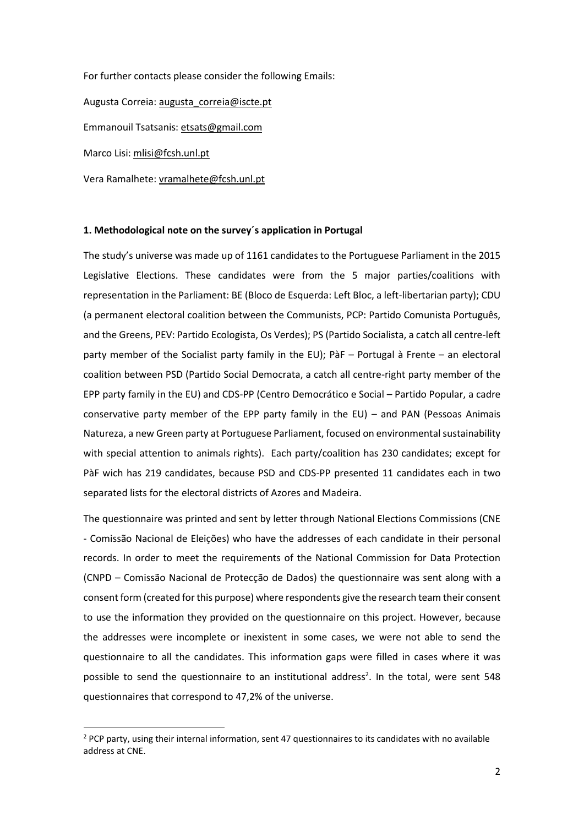For further contacts please consider the following Emails: Augusta Correia: [augusta\\_correia@iscte.pt](mailto:augusta_correia@iscte.pt) Emmanouil Tsatsanis[: etsats@gmail.com](mailto:etsats@gmail.com)

Marco Lisi: [mlisi@fcsh.unl.pt](mailto:mlisi@fcsh.unl.pt)

Vera Ramalhete: [vramalhete@fcsh.unl.pt](mailto:vramalhete@fcsh.unl.pt)

### **1. Methodological note on the survey´s application in Portugal**

The study's universe was made up of 1161 candidates to the Portuguese Parliament in the 2015 Legislative Elections. These candidates were from the 5 major parties/coalitions with representation in the Parliament: BE (Bloco de Esquerda: Left Bloc, a left-libertarian party); CDU (a permanent electoral coalition between the Communists, PCP: Partido Comunista Português, and the Greens, PEV: Partido Ecologista, Os Verdes); PS (Partido Socialista, a catch all centre-left party member of the Socialist party family in the EU); PàF – Portugal à Frente – an electoral coalition between PSD (Partido Social Democrata, a catch all centre-right party member of the EPP party family in the EU) and CDS-PP (Centro Democrático e Social – Partido Popular, a cadre conservative party member of the EPP party family in the EU) – and PAN (Pessoas Animais Natureza, a new Green party at Portuguese Parliament, focused on environmental sustainability with special attention to animals rights). Each party/coalition has 230 candidates; except for PàF wich has 219 candidates, because PSD and CDS-PP presented 11 candidates each in two separated lists for the electoral districts of Azores and Madeira.

The questionnaire was printed and sent by letter through National Elections Commissions (CNE - Comissão Nacional de Eleições) who have the addresses of each candidate in their personal records. In order to meet the requirements of the National Commission for Data Protection (CNPD – Comissão Nacional de Protecção de Dados) the questionnaire was sent along with a consent form (created for this purpose) where respondents give the research team their consent to use the information they provided on the questionnaire on this project. However, because the addresses were incomplete or inexistent in some cases, we were not able to send the questionnaire to all the candidates. This information gaps were filled in cases where it was possible to send the questionnaire to an institutional address<sup>2</sup>. In the total, were sent 548 questionnaires that correspond to 47,2% of the universe.

<sup>&</sup>lt;sup>2</sup> PCP party, using their internal information, sent 47 questionnaires to its candidates with no available address at CNE.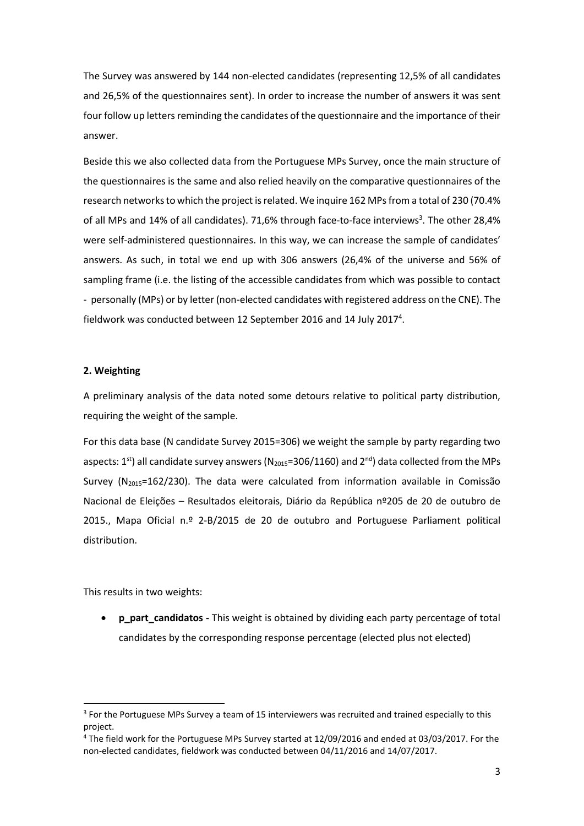The Survey was answered by 144 non-elected candidates (representing 12,5% of all candidates and 26,5% of the questionnaires sent). In order to increase the number of answers it was sent four follow up letters reminding the candidates of the questionnaire and the importance of their answer.

Beside this we also collected data from the Portuguese MPs Survey, once the main structure of the questionnaires is the same and also relied heavily on the comparative questionnaires of the research networks to which the project is related. We inquire 162 MPsfrom a total of 230 (70.4% of all MPs and 14% of all candidates). 71,6% through face-to-face interviews<sup>3</sup>. The other 28,4% were self-administered questionnaires. In this way, we can increase the sample of candidates' answers. As such, in total we end up with 306 answers (26,4% of the universe and 56% of sampling frame (i.e. the listing of the accessible candidates from which was possible to contact - personally (MPs) or by letter (non-elected candidates with registered address on the CNE). The fieldwork was conducted between 12 September 2016 and 14 July 2017<sup>4</sup>.

#### **2. Weighting**

A preliminary analysis of the data noted some detours relative to political party distribution, requiring the weight of the sample.

For this data base (N candidate Survey 2015=306) we weight the sample by party regarding two aspects: 1<sup>st</sup>) all candidate survey answers (N<sub>2015</sub>=306/1160) and 2<sup>nd</sup>) data collected from the MPs Survey ( $N_{2015}=162/230$ ). The data were calculated from information available in Comissão Nacional de Eleições – Resultados eleitorais, Diário da República nº205 de 20 de outubro de 2015., Mapa Oficial n.º 2-B/2015 de 20 de outubro and Portuguese Parliament political distribution.

This results in two weights:

• **p\_part\_candidatos -** This weight is obtained by dividing each party percentage of total candidates by the corresponding response percentage (elected plus not elected)

<sup>&</sup>lt;sup>3</sup> For the Portuguese MPs Survey a team of 15 interviewers was recruited and trained especially to this project.

<sup>4</sup> The field work for the Portuguese MPs Survey started at 12/09/2016 and ended at 03/03/2017. For the non-elected candidates, fieldwork was conducted between 04/11/2016 and 14/07/2017.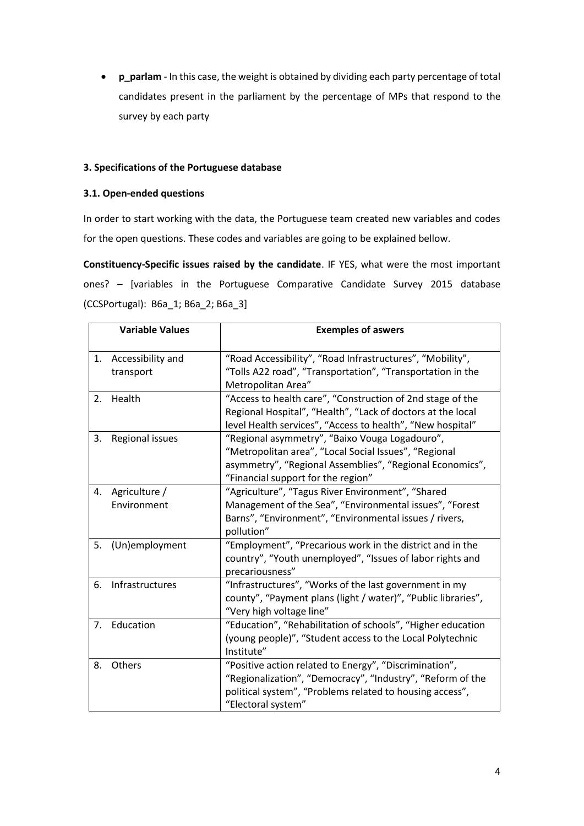• **p\_parlam** - In this case, the weight is obtained by dividing each party percentage of total candidates present in the parliament by the percentage of MPs that respond to the survey by each party

### **3. Specifications of the Portuguese database**

### **3.1. Open-ended questions**

In order to start working with the data, the Portuguese team created new variables and codes for the open questions. These codes and variables are going to be explained bellow.

**Constituency-Specific issues raised by the candidate**. IF YES, what were the most important ones? – [variables in the Portuguese Comparative Candidate Survey 2015 database (CCSPortugal): B6a\_1; B6a\_2; B6a\_3]

|    | <b>Variable Values</b>         | <b>Exemples of aswers</b>                                                                                                                                                                                 |
|----|--------------------------------|-----------------------------------------------------------------------------------------------------------------------------------------------------------------------------------------------------------|
| 1. | Accessibility and<br>transport | "Road Accessibility", "Road Infrastructures", "Mobility",<br>"Tolls A22 road", "Transportation", "Transportation in the<br>Metropolitan Area"                                                             |
| 2. | Health                         | "Access to health care", "Construction of 2nd stage of the<br>Regional Hospital", "Health", "Lack of doctors at the local<br>level Health services", "Access to health", "New hospital"                   |
| 3. | Regional issues                | "Regional asymmetry", "Baixo Vouga Logadouro",<br>"Metropolitan area", "Local Social Issues", "Regional<br>asymmetry", "Regional Assemblies", "Regional Economics",<br>"Financial support for the region" |
| 4. | Agriculture /<br>Environment   | "Agriculture", "Tagus River Environment", "Shared<br>Management of the Sea", "Environmental issues", "Forest<br>Barns", "Environment", "Environmental issues / rivers,<br>pollution"                      |
| 5. | (Un)employment                 | "Employment", "Precarious work in the district and in the<br>country", "Youth unemployed", "Issues of labor rights and<br>precariousness"                                                                 |
| 6. | Infrastructures                | "Infrastructures", "Works of the last government in my<br>county", "Payment plans (light / water)", "Public libraries",<br>"Very high voltage line"                                                       |
| 7. | Education                      | "Education", "Rehabilitation of schools", "Higher education<br>(young people)", "Student access to the Local Polytechnic<br>Institute"                                                                    |
| 8. | Others                         | "Positive action related to Energy", "Discrimination",<br>"Regionalization", "Democracy", "Industry", "Reform of the<br>political system", "Problems related to housing access",<br>"Electoral system"    |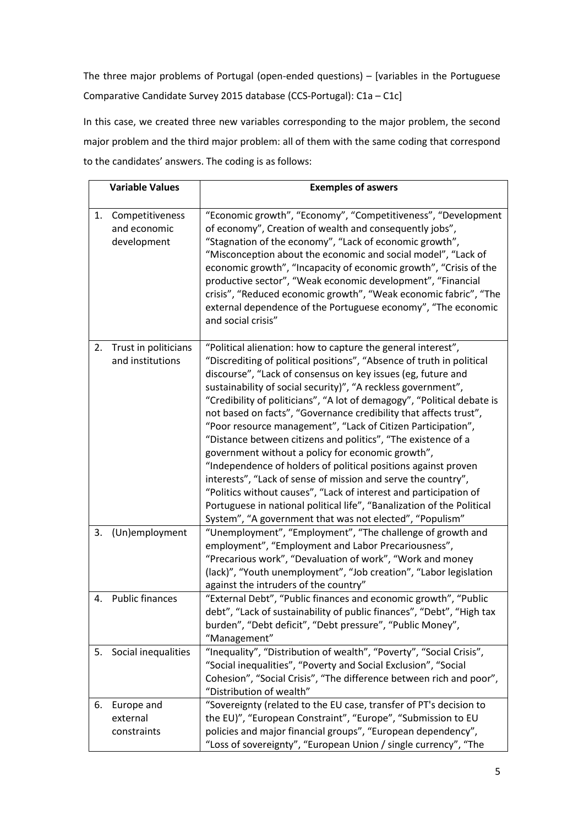The three major problems of Portugal (open-ended questions) – [variables in the Portuguese Comparative Candidate Survey 2015 database (CCS-Portugal): C1a – C1c]

In this case, we created three new variables corresponding to the major problem, the second major problem and the third major problem: all of them with the same coding that correspond to the candidates' answers. The coding is as follows:

|    | <b>Variable Values</b>                         | <b>Exemples of aswers</b>                                                                                                                                                                                                                                                                                                                                                                                                                                                                                                                                                                                                                                                                                                                                                                                                                                                                                                                                  |
|----|------------------------------------------------|------------------------------------------------------------------------------------------------------------------------------------------------------------------------------------------------------------------------------------------------------------------------------------------------------------------------------------------------------------------------------------------------------------------------------------------------------------------------------------------------------------------------------------------------------------------------------------------------------------------------------------------------------------------------------------------------------------------------------------------------------------------------------------------------------------------------------------------------------------------------------------------------------------------------------------------------------------|
| 1. | Competitiveness<br>and economic<br>development | "Economic growth", "Economy", "Competitiveness", "Development<br>of economy", Creation of wealth and consequently jobs",<br>"Stagnation of the economy", "Lack of economic growth",<br>"Misconception about the economic and social model", "Lack of<br>economic growth", "Incapacity of economic growth", "Crisis of the<br>productive sector", "Weak economic development", "Financial<br>crisis", "Reduced economic growth", "Weak economic fabric", "The<br>external dependence of the Portuguese economy", "The economic<br>and social crisis"                                                                                                                                                                                                                                                                                                                                                                                                        |
| 2. | Trust in politicians<br>and institutions       | "Political alienation: how to capture the general interest",<br>"Discrediting of political positions", "Absence of truth in political<br>discourse", "Lack of consensus on key issues (eg, future and<br>sustainability of social security)", "A reckless government",<br>"Credibility of politicians", "A lot of demagogy", "Political debate is<br>not based on facts", "Governance credibility that affects trust",<br>"Poor resource management", "Lack of Citizen Participation",<br>"Distance between citizens and politics", "The existence of a<br>government without a policy for economic growth",<br>"Independence of holders of political positions against proven<br>interests", "Lack of sense of mission and serve the country",<br>"Politics without causes", "Lack of interest and participation of<br>Portuguese in national political life", "Banalization of the Political<br>System", "A government that was not elected", "Populism" |
| 3. | (Un)employment                                 | "Unemployment", "Employment", "The challenge of growth and<br>employment", "Employment and Labor Precariousness",<br>"Precarious work", "Devaluation of work", "Work and money<br>(lack)", "Youth unemployment", "Job creation", "Labor legislation<br>against the intruders of the country"                                                                                                                                                                                                                                                                                                                                                                                                                                                                                                                                                                                                                                                               |
| 4. | <b>Public finances</b>                         | "External Debt", "Public finances and economic growth", "Public<br>debt", "Lack of sustainability of public finances", "Debt", "High tax<br>burden", "Debt deficit", "Debt pressure", "Public Money",<br>"Management"                                                                                                                                                                                                                                                                                                                                                                                                                                                                                                                                                                                                                                                                                                                                      |
| 5. | Social inequalities                            | "Inequality", "Distribution of wealth", "Poverty", "Social Crisis",<br>"Social inequalities", "Poverty and Social Exclusion", "Social<br>Cohesion", "Social Crisis", "The difference between rich and poor",<br>"Distribution of wealth"                                                                                                                                                                                                                                                                                                                                                                                                                                                                                                                                                                                                                                                                                                                   |
| 6. | Europe and<br>external<br>constraints          | "Sovereignty (related to the EU case, transfer of PT's decision to<br>the EU)", "European Constraint", "Europe", "Submission to EU<br>policies and major financial groups", "European dependency",<br>"Loss of sovereignty", "European Union / single currency", "The                                                                                                                                                                                                                                                                                                                                                                                                                                                                                                                                                                                                                                                                                      |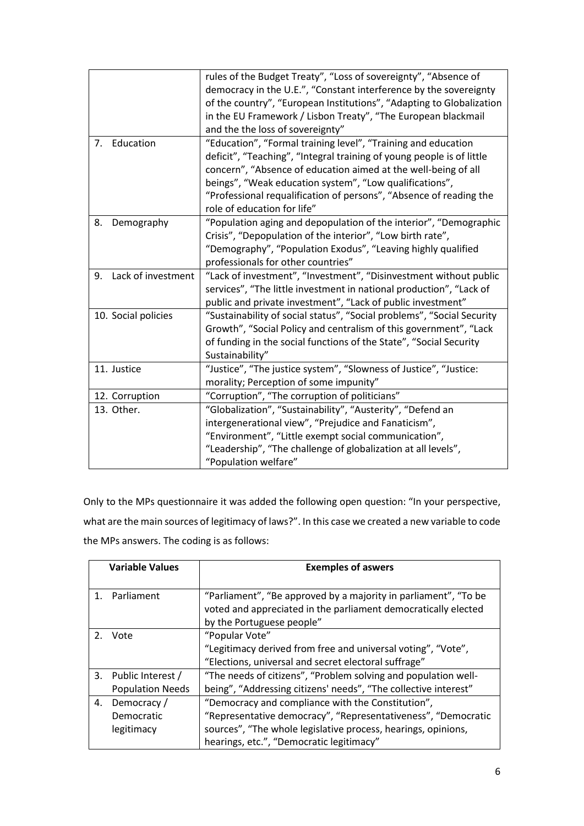|                          | rules of the Budget Treaty", "Loss of sovereignty", "Absence of<br>democracy in the U.E.", "Constant interference by the sovereignty<br>of the country", "European Institutions", "Adapting to Globalization<br>in the EU Framework / Lisbon Treaty", "The European blackmail<br>and the the loss of sovereignty"                                                        |
|--------------------------|--------------------------------------------------------------------------------------------------------------------------------------------------------------------------------------------------------------------------------------------------------------------------------------------------------------------------------------------------------------------------|
| Education<br>7.          | "Education", "Formal training level", "Training and education<br>deficit", "Teaching", "Integral training of young people is of little<br>concern", "Absence of education aimed at the well-being of all<br>beings", "Weak education system", "Low qualifications",<br>"Professional requalification of persons", "Absence of reading the<br>role of education for life" |
| 8.<br>Demography         | "Population aging and depopulation of the interior", "Demographic<br>Crisis", "Depopulation of the interior", "Low birth rate",<br>"Demography", "Population Exodus", "Leaving highly qualified<br>professionals for other countries"                                                                                                                                    |
| Lack of investment<br>9. | "Lack of investment", "Investment", "Disinvestment without public<br>services", "The little investment in national production", "Lack of<br>public and private investment", "Lack of public investment"                                                                                                                                                                  |
| 10. Social policies      | "Sustainability of social status", "Social problems", "Social Security<br>Growth", "Social Policy and centralism of this government", "Lack<br>of funding in the social functions of the State", "Social Security<br>Sustainability"                                                                                                                                     |
| 11. Justice              | "Justice", "The justice system", "Slowness of Justice", "Justice:<br>morality; Perception of some impunity"                                                                                                                                                                                                                                                              |
| 12. Corruption           | "Corruption", "The corruption of politicians"                                                                                                                                                                                                                                                                                                                            |
| 13. Other.               | "Globalization", "Sustainability", "Austerity", "Defend an<br>intergenerational view", "Prejudice and Fanaticism",                                                                                                                                                                                                                                                       |
|                          | "Environment", "Little exempt social communication",<br>"Leadership", "The challenge of globalization at all levels",<br>"Population welfare"                                                                                                                                                                                                                            |

Only to the MPs questionnaire it was added the following open question: "In your perspective, what are the main sources of legitimacy of laws?". In this case we created a new variable to code the MPs answers. The coding is as follows:

| <b>Variable Values</b> |                                                 | <b>Exemples of aswers</b>                                                                                                                                                                                                       |
|------------------------|-------------------------------------------------|---------------------------------------------------------------------------------------------------------------------------------------------------------------------------------------------------------------------------------|
|                        | 1. Parliament                                   | "Parliament", "Be approved by a majority in parliament", "To be<br>voted and appreciated in the parliament democratically elected<br>by the Portuguese people"                                                                  |
|                        | 2. Vote                                         | "Popular Vote"<br>"Legitimacy derived from free and universal voting", "Vote",<br>"Elections, universal and secret electoral suffrage"                                                                                          |
|                        | 3. Public Interest /<br><b>Population Needs</b> | "The needs of citizens", "Problem solving and population well-<br>being", "Addressing citizens' needs", "The collective interest"                                                                                               |
| 4.                     | Democracy /<br>Democratic<br>legitimacy         | "Democracy and compliance with the Constitution",<br>"Representative democracy", "Representativeness", "Democratic<br>sources", "The whole legislative process, hearings, opinions,<br>hearings, etc.", "Democratic legitimacy" |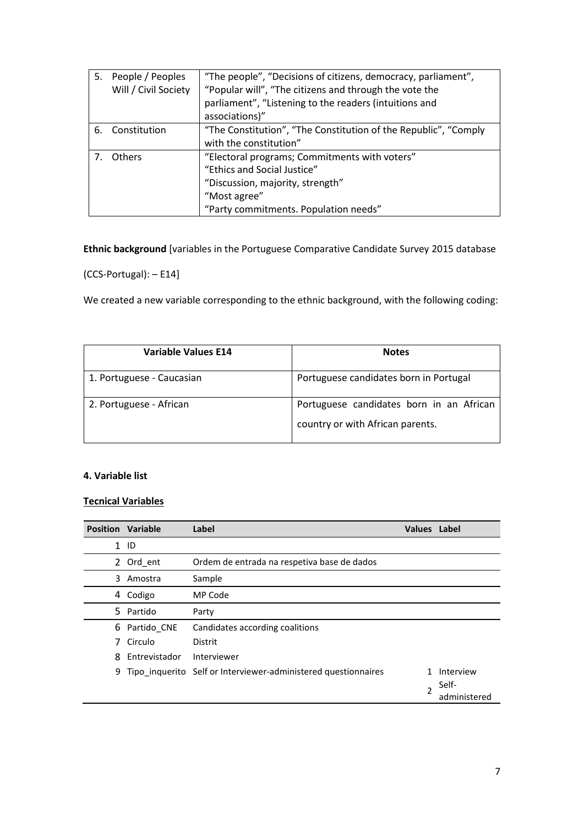| 5. | People / Peoples     | "The people", "Decisions of citizens, democracy, parliament",   |
|----|----------------------|-----------------------------------------------------------------|
|    | Will / Civil Society | "Popular will", "The citizens and through the vote the          |
|    |                      | parliament", "Listening to the readers (intuitions and          |
|    |                      | associations)"                                                  |
| 6. | Constitution         | "The Constitution", "The Constitution of the Republic", "Comply |
|    |                      | with the constitution"                                          |
|    | Others               | "Electoral programs; Commitments with voters"                   |
|    |                      | "Ethics and Social Justice"                                     |
|    |                      | "Discussion, majority, strength"                                |
|    |                      | "Most agree"                                                    |
|    |                      | "Party commitments. Population needs"                           |

**Ethnic background** [variables in the Portuguese Comparative Candidate Survey 2015 database

(CCS-Portugal): – E14]

We created a new variable corresponding to the ethnic background, with the following coding:

| <b>Variable Values E14</b> | <b>Notes</b>                                                                 |
|----------------------------|------------------------------------------------------------------------------|
| 1. Portuguese - Caucasian  | Portuguese candidates born in Portugal                                       |
| 2. Portuguese - African    | Portuguese candidates born in an African<br>country or with African parents. |

### **4. Variable list**

### **Tecnical Variables**

|   | <b>Position Variable</b> | Label                                                          | <b>Values</b> Label |                                    |
|---|--------------------------|----------------------------------------------------------------|---------------------|------------------------------------|
|   | $1$ ID                   |                                                                |                     |                                    |
| 2 | Ord ent                  | Ordem de entrada na respetiva base de dados                    |                     |                                    |
| 3 | Amostra                  | Sample                                                         |                     |                                    |
| 4 | Codigo                   | MP Code                                                        |                     |                                    |
|   | 5 Partido                | Party                                                          |                     |                                    |
| 6 | Partido CNE              | Candidates according coalitions                                |                     |                                    |
|   | Circulo                  | Distrit                                                        |                     |                                    |
| 8 | Entrevistador            | Interviewer                                                    |                     |                                    |
| 9 |                          | Tipo inquerito Self or Interviewer-administered questionnaires | $\mathfrak{p}$      | Interview<br>Self-<br>administered |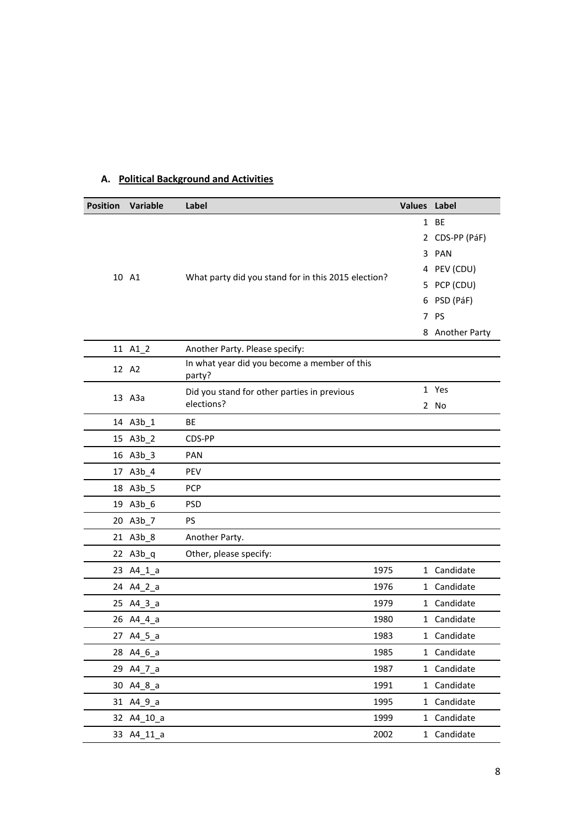## **A. Political Background and Activities**

| <b>Position</b> | Variable   | Label                                                  | Values Label |                 |
|-----------------|------------|--------------------------------------------------------|--------------|-----------------|
|                 |            |                                                        |              | 1 BE            |
|                 |            |                                                        |              | 2 CDS-PP (PáF)  |
|                 |            |                                                        | 3.           | PAN             |
|                 | 10 A1      | What party did you stand for in this 2015 election?    |              | 4 PEV (CDU)     |
|                 |            |                                                        |              | 5 PCP (CDU)     |
|                 |            |                                                        | 6            | PSD (PáF)       |
|                 |            |                                                        | 7            | PS              |
|                 |            |                                                        |              | 8 Another Party |
|                 | 11 A1_2    | Another Party. Please specify:                         |              |                 |
|                 | 12 A2      | In what year did you become a member of this<br>party? |              |                 |
|                 | 13 A3a     | Did you stand for other parties in previous            |              | 1 Yes           |
|                 |            | elections?                                             |              | 2 No            |
|                 | 14 A3b 1   | ВE                                                     |              |                 |
|                 | 15 A3b_2   | CDS-PP                                                 |              |                 |
|                 | 16 A3b_3   | PAN                                                    |              |                 |
|                 | 17 A3b_4   | <b>PEV</b>                                             |              |                 |
|                 | 18 A3b_5   | <b>PCP</b>                                             |              |                 |
|                 | 19 A3b_6   | <b>PSD</b>                                             |              |                 |
|                 | 20 A3b_7   | <b>PS</b>                                              |              |                 |
|                 | 21 A3b_8   | Another Party.                                         |              |                 |
|                 | 22 A3b_q   | Other, please specify:                                 |              |                 |
|                 | 23 A4_1_a  | 1975                                                   |              | 1 Candidate     |
|                 | 24 A4_2_a  | 1976                                                   |              | 1 Candidate     |
|                 | 25 A4_3_a  | 1979                                                   |              | 1 Candidate     |
|                 | 26 A4_4_a  | 1980                                                   |              | 1 Candidate     |
|                 | 27 A4_5_a  | 1983                                                   |              | 1 Candidate     |
|                 | 28 A4_6_a  | 1985                                                   |              | 1 Candidate     |
|                 | 29 A4_7_a  | 1987                                                   |              | 1 Candidate     |
|                 | 30 A4_8_a  | 1991                                                   |              | 1 Candidate     |
|                 | 31 A4_9_a  | 1995                                                   |              | 1 Candidate     |
|                 | 32 A4_10_a | 1999                                                   |              | 1 Candidate     |
|                 | 33 A4_11_a | 2002                                                   |              | 1 Candidate     |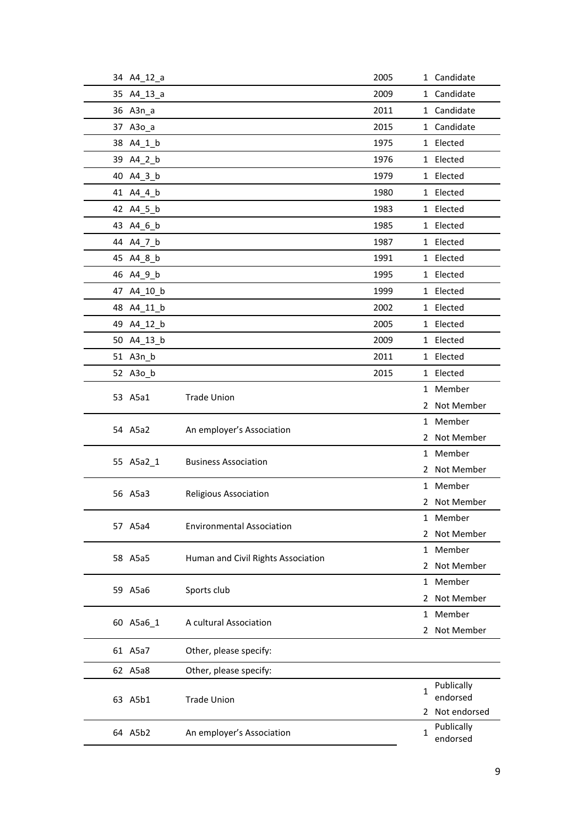| 34 A4_12_a |                                    | 2005 |              | 1 Candidate                |
|------------|------------------------------------|------|--------------|----------------------------|
| 35 A4_13_a |                                    | 2009 |              | 1 Candidate                |
| 36 A3n_a   |                                    | 2011 |              | 1 Candidate                |
| 37 A3o_a   |                                    | 2015 |              | 1 Candidate                |
| 38 A4 1 b  |                                    | 1975 |              | 1 Elected                  |
| 39 A4_2_b  |                                    | 1976 |              | 1 Elected                  |
| 40 A4_3_b  |                                    | 1979 |              | 1 Elected                  |
| 41 A4_4_b  |                                    | 1980 |              | 1 Elected                  |
| 42 A4_5_b  |                                    | 1983 |              | 1 Elected                  |
| 43 A4_6_b  |                                    | 1985 |              | 1 Elected                  |
| 44 A4_7_b  |                                    | 1987 |              | 1 Elected                  |
| 45 A4_8_b  |                                    | 1991 |              | 1 Elected                  |
| 46 A4_9_b  |                                    | 1995 |              | 1 Elected                  |
| 47 A4_10_b |                                    | 1999 |              | 1 Elected                  |
| 48 A4_11_b |                                    | 2002 |              | 1 Elected                  |
| 49 A4_12_b |                                    | 2005 |              | 1 Elected                  |
| 50 A4_13_b |                                    | 2009 |              | 1 Elected                  |
| 51 A3n_b   |                                    | 2011 |              | 1 Elected                  |
| 52 A3o_b   |                                    | 2015 |              | 1 Elected                  |
| 53 A5a1    | <b>Trade Union</b>                 |      |              | 1 Member                   |
|            |                                    |      |              | 2 Not Member               |
| 54 A5a2    | An employer's Association          |      |              | 1 Member                   |
|            |                                    |      |              | 2 Not Member               |
| 55 A5a2_1  | <b>Business Association</b>        |      |              | 1 Member                   |
|            |                                    |      | 2            | Not Member                 |
| 56 A5a3    | <b>Religious Association</b>       |      |              | 1 Member                   |
|            |                                    |      |              | 2 Not Member               |
| 57 A5a4    | <b>Environmental Association</b>   |      |              | 1 Member                   |
|            |                                    |      | 2            | Not Member                 |
| 58 A5a5    | Human and Civil Rights Association |      |              | 1 Member                   |
|            |                                    |      |              | 2 Not Member               |
| 59 A5a6    | Sports club                        |      |              | 1 Member                   |
|            |                                    |      | 2            | Not Member                 |
| 60 A5a6_1  | A cultural Association             |      |              | 1 Member                   |
|            |                                    |      |              | 2 Not Member               |
| 61 A5a7    | Other, please specify:             |      |              |                            |
| 62 A5a8    | Other, please specify:             |      |              |                            |
|            |                                    |      | 1            | Publically                 |
| 63 A5b1    | <b>Trade Union</b>                 |      |              | endorsed<br>2 Not endorsed |
|            |                                    |      |              | Publically                 |
| 64 A5b2    | An employer's Association          |      | $\mathbf{1}$ | endorsed                   |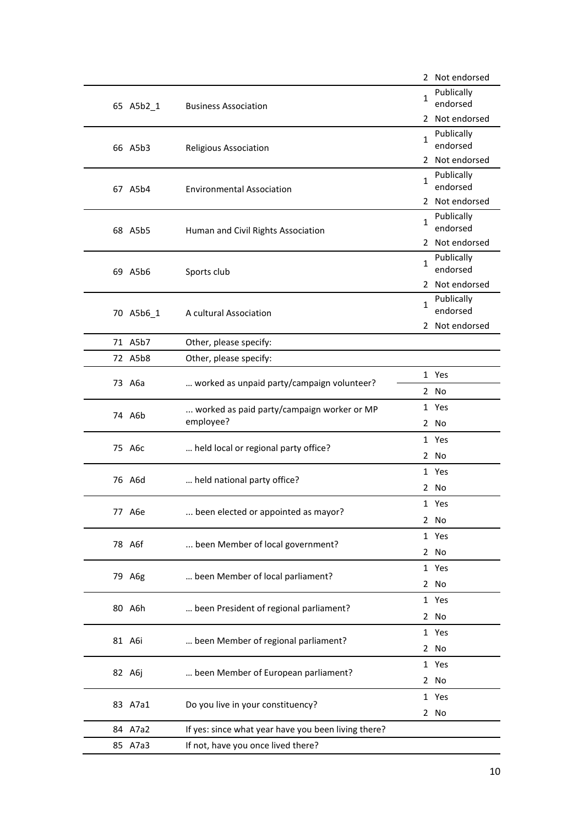|  |                                                |                                                         |                        | 2 Not endorsed         |
|--|------------------------------------------------|---------------------------------------------------------|------------------------|------------------------|
|  | 65 A5b2_1                                      | <b>Business Association</b>                             | 1                      | Publically<br>endorsed |
|  |                                                |                                                         |                        | 2 Not endorsed         |
|  | 66 A5b3                                        | <b>Religious Association</b>                            | 1                      | Publically<br>endorsed |
|  |                                                |                                                         |                        | 2 Not endorsed         |
|  | 67 A5b4                                        | <b>Environmental Association</b>                        | 1                      | Publically<br>endorsed |
|  |                                                |                                                         |                        | 2 Not endorsed         |
|  | 68 A5b5<br>Human and Civil Rights Association  | $\mathbf 1$                                             | Publically<br>endorsed |                        |
|  |                                                |                                                         |                        | 2 Not endorsed         |
|  | 69 A5b6                                        | Sports club                                             | 1                      | Publically<br>endorsed |
|  |                                                |                                                         |                        | 2 Not endorsed         |
|  | 70 A5b6_1                                      | A cultural Association                                  | $\mathbf{1}$           | Publically<br>endorsed |
|  |                                                |                                                         |                        | 2 Not endorsed         |
|  | 71 A5b7                                        | Other, please specify:                                  |                        |                        |
|  | 72 A5b8                                        | Other, please specify:                                  |                        |                        |
|  | 73 A6a                                         |                                                         |                        | 1 Yes                  |
|  |                                                | worked as unpaid party/campaign volunteer?              |                        | 2 No                   |
|  | 74 A6b                                         | worked as paid party/campaign worker or MP<br>employee? |                        | 1 Yes                  |
|  |                                                |                                                         |                        | 2 No                   |
|  | 75 A6c<br>held local or regional party office? |                                                         |                        | 1 Yes                  |
|  |                                                |                                                         |                        | 2 No                   |
|  | 76 A6d<br>held national party office?          |                                                         | 1 Yes                  |                        |
|  |                                                |                                                         | 2 No                   |                        |
|  | 77 A6e<br>been elected or appointed as mayor?  |                                                         | 1 Yes                  |                        |
|  |                                                |                                                         |                        | 2 No                   |
|  | 78 A6f<br>been Member of local government?     |                                                         | 1 Yes                  |                        |
|  |                                                |                                                         |                        | 2 No                   |
|  | 79 A6g                                         | been Member of local parliament?                        |                        | 1 Yes                  |
|  |                                                |                                                         |                        | 2 No                   |
|  | 80 A6h                                         | been President of regional parliament?                  |                        | 1 Yes                  |
|  |                                                |                                                         |                        | 2 No                   |
|  | 81 A6i                                         | been Member of regional parliament?                     |                        | 1 Yes                  |
|  |                                                |                                                         |                        | 2 No                   |
|  | 82 A6j                                         | been Member of European parliament?                     |                        | 1 Yes                  |
|  |                                                |                                                         |                        | 2 No                   |
|  | 83 A7a1                                        | Do you live in your constituency?                       |                        | 1 Yes                  |
|  |                                                |                                                         |                        | 2 No                   |
|  | 84 A7a2                                        | If yes: since what year have you been living there?     |                        |                        |
|  | 85 A7a3                                        | If not, have you once lived there?                      |                        |                        |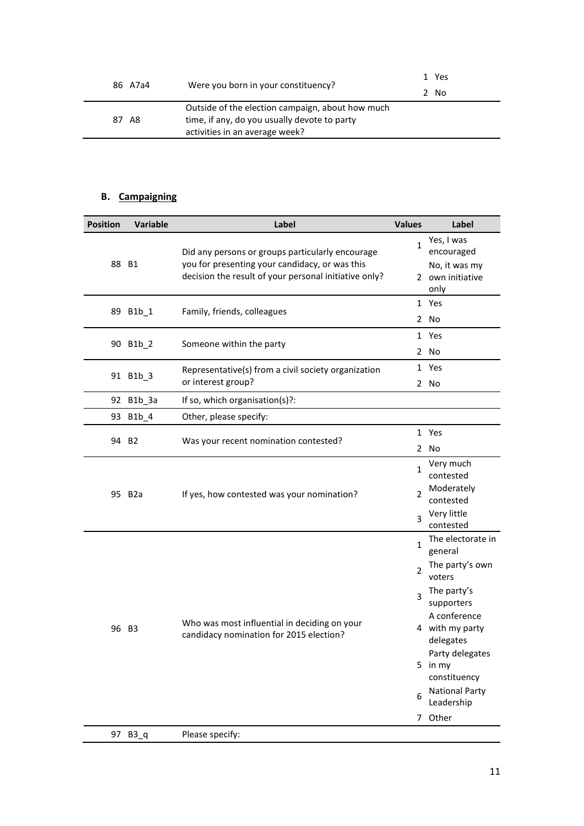| 86 A7a4 | Were you born in your constituency?                                                                                                | 1 Yes<br>2 No |
|---------|------------------------------------------------------------------------------------------------------------------------------------|---------------|
| 87 A8   | Outside of the election campaign, about how much<br>time, if any, do you usually devote to party<br>activities in an average week? |               |

## **B. Campaigning**

| <b>Position</b> | Variable                                                          | Label                                                                                              | <b>Values</b>            | Label                                        |
|-----------------|-------------------------------------------------------------------|----------------------------------------------------------------------------------------------------|--------------------------|----------------------------------------------|
| 88 B1           |                                                                   | Did any persons or groups particularly encourage<br>you for presenting your candidacy, or was this | $\mathbf{1}$             | Yes, I was<br>encouraged<br>No, it was my    |
|                 |                                                                   | decision the result of your personal initiative only?                                              |                          | 2 own initiative<br>only                     |
|                 | 89 B1b_1                                                          | Family, friends, colleagues                                                                        |                          | 1 Yes                                        |
|                 |                                                                   |                                                                                                    |                          | 2 No                                         |
|                 | 90 B1b_2                                                          | Someone within the party                                                                           |                          | 1 Yes                                        |
|                 |                                                                   |                                                                                                    |                          | 2 No                                         |
|                 | 91 B1b_3                                                          | Representative(s) from a civil society organization                                                |                          | 1 Yes                                        |
|                 |                                                                   | or interest group?                                                                                 |                          | 2 No                                         |
|                 | 92 B1b_3a                                                         | If so, which organisation(s)?:                                                                     |                          |                                              |
|                 | 93 B1b 4                                                          | Other, please specify:                                                                             |                          |                                              |
|                 | 94 B <sub>2</sub>                                                 |                                                                                                    |                          | 1 Yes                                        |
|                 |                                                                   | Was your recent nomination contested?                                                              |                          | 2 No                                         |
|                 | 95 B <sub>2</sub> a<br>If yes, how contested was your nomination? |                                                                                                    | $\mathbf{1}$             | Very much<br>contested                       |
|                 |                                                                   |                                                                                                    | 2                        | Moderately<br>contested                      |
|                 |                                                                   | 3                                                                                                  | Very little<br>contested |                                              |
|                 |                                                                   |                                                                                                    | $\mathbf{1}$             | The electorate in<br>general                 |
|                 |                                                                   |                                                                                                    | $\overline{2}$           | The party's own<br>voters                    |
|                 |                                                                   |                                                                                                    | 3                        | The party's<br>supporters                    |
|                 | 96 B3                                                             | Who was most influential in deciding on your<br>candidacy nomination for 2015 election?            |                          | A conference<br>4 with my party<br>delegates |
|                 |                                                                   |                                                                                                    |                          | Party delegates<br>5 in my<br>constituency   |
|                 |                                                                   |                                                                                                    | 6                        | <b>National Party</b><br>Leadership          |
|                 |                                                                   |                                                                                                    |                          | 7 Other                                      |
|                 | 97 B3_q                                                           | Please specify:                                                                                    |                          |                                              |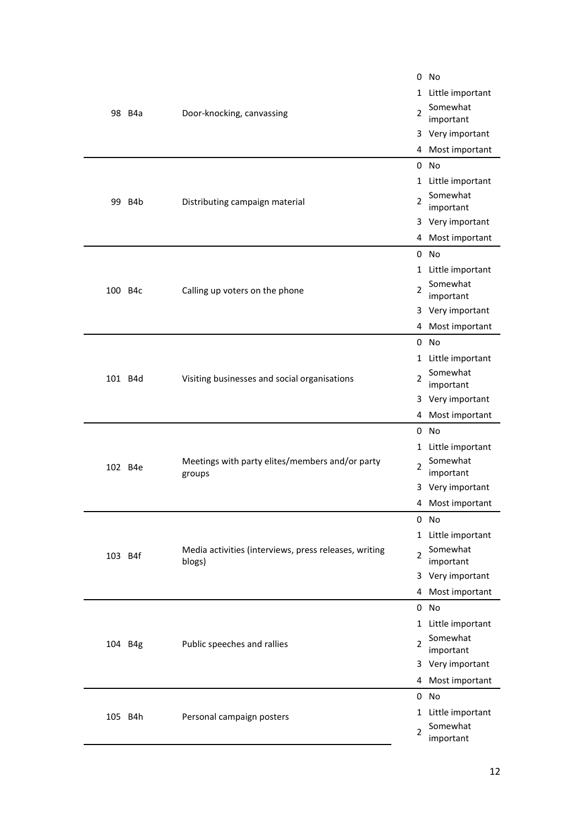|         |                                |                                                                 | 0                     | No                    |
|---------|--------------------------------|-----------------------------------------------------------------|-----------------------|-----------------------|
| 98 B4a  |                                |                                                                 | 1 Little important    |                       |
|         |                                | $\mathcal{P}$<br>Door-knocking, canvassing                      | Somewhat              |                       |
|         |                                |                                                                 | important             |                       |
|         |                                |                                                                 | 3 Very important      |                       |
|         |                                |                                                                 | 4 Most important      |                       |
|         |                                |                                                                 | 0                     | <b>No</b>             |
|         |                                |                                                                 |                       | 1 Little important    |
|         | 99 B4b                         | Distributing campaign material                                  | 2                     | Somewhat<br>important |
|         |                                |                                                                 |                       | 3 Very important      |
|         |                                |                                                                 |                       | 4 Most important      |
|         |                                |                                                                 |                       | $0$ No                |
|         |                                |                                                                 |                       | 1 Little important    |
| 100 B4c | Calling up voters on the phone | 2                                                               | Somewhat<br>important |                       |
|         |                                |                                                                 |                       | 3 Very important      |
|         |                                |                                                                 |                       | 4 Most important      |
|         |                                |                                                                 |                       | $0$ No                |
|         |                                |                                                                 |                       | 1 Little important    |
|         | 101 B4d                        | Visiting businesses and social organisations                    | 2                     | Somewhat<br>important |
|         |                                |                                                                 |                       | 3 Very important      |
|         |                                |                                                                 |                       | 4 Most important      |
|         |                                |                                                                 |                       | $0$ No                |
|         |                                |                                                                 |                       | 1 Little important    |
|         | 102 B4e                        | Meetings with party elites/members and/or party<br>groups       | 2                     | Somewhat<br>important |
|         |                                |                                                                 |                       | 3 Very important      |
|         |                                |                                                                 |                       | 4 Most important      |
|         |                                |                                                                 |                       | 0 No                  |
|         |                                |                                                                 |                       | 1 Little important    |
| 103 B4f |                                | Media activities (interviews, press releases, writing<br>blogs) | 2                     | Somewhat<br>important |
|         |                                |                                                                 |                       | 3 Very important      |
|         |                                |                                                                 |                       | 4 Most important      |
|         |                                |                                                                 |                       | 0 No                  |
| 104 B4g |                                |                                                                 |                       | 1 Little important    |
|         |                                | Public speeches and rallies                                     | $\overline{2}$        | Somewhat<br>important |
|         |                                |                                                                 |                       | 3 Very important      |
|         |                                |                                                                 | 4                     | Most important        |
|         |                                |                                                                 |                       | 0 No                  |
|         |                                |                                                                 |                       | 1 Little important    |
| 105 B4h |                                | Personal campaign posters                                       | $\overline{2}$        | Somewhat<br>important |
|         |                                |                                                                 |                       |                       |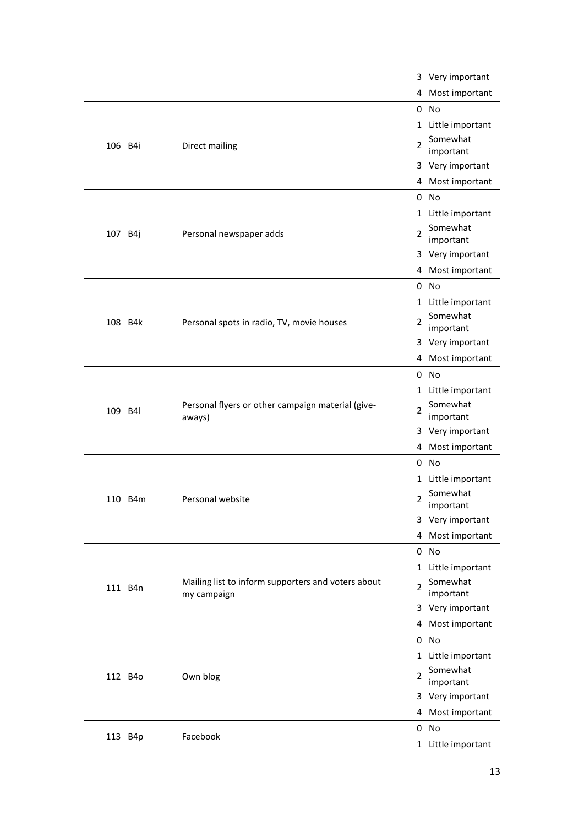|         |         |                                                                   |                     | 3 Very important      |
|---------|---------|-------------------------------------------------------------------|---------------------|-----------------------|
|         |         |                                                                   | 4                   | Most important        |
|         |         |                                                                   |                     | 0 No                  |
|         |         |                                                                   | $1 \ \overline{\ }$ | Little important      |
| 106 B4i |         | Somewhat<br>Direct mailing<br>2<br>important                      |                     |                       |
|         |         |                                                                   |                     | 3 Very important      |
|         |         |                                                                   | 4                   | Most important        |
|         |         |                                                                   |                     | $0$ No                |
|         |         |                                                                   | $1\,$               | Little important      |
| 107 B4j |         | Personal newspaper adds                                           | 2                   | Somewhat<br>important |
|         |         |                                                                   |                     | 3 Very important      |
|         |         |                                                                   | 4                   | Most important        |
|         |         |                                                                   | 0                   | No                    |
|         |         |                                                                   | $\mathbf{1}$        | Little important      |
|         | 108 B4k | Personal spots in radio, TV, movie houses                         | 2                   | Somewhat<br>important |
|         |         |                                                                   | 3                   | Very important        |
|         |         |                                                                   | 4                   | Most important        |
|         |         |                                                                   | 0                   | No                    |
|         |         |                                                                   | 1                   | Little important      |
| 109 B4l |         | Personal flyers or other campaign material (give-<br>aways)       | 2                   | Somewhat<br>important |
|         |         |                                                                   | 3                   | Very important        |
|         |         |                                                                   | 4                   | Most important        |
|         |         |                                                                   | 0                   | No                    |
|         |         |                                                                   | 1                   | Little important      |
|         | 110 B4m | Personal website                                                  | 2                   | Somewhat<br>important |
|         |         |                                                                   |                     | 3 Very important      |
|         |         |                                                                   | 4                   | Most important        |
|         |         |                                                                   |                     | 0 No                  |
|         |         |                                                                   | $\mathbf{1}$        | Little important      |
|         | 111 B4n | Mailing list to inform supporters and voters about<br>my campaign | $\overline{2}$      | Somewhat<br>important |
|         |         |                                                                   | 3                   | Very important        |
|         |         |                                                                   | 4                   | Most important        |
|         |         |                                                                   |                     | 0 No                  |
|         |         |                                                                   | 1                   | Little important      |
|         | 112 B4o | Own blog                                                          | 2                   | Somewhat<br>important |
|         |         |                                                                   |                     | 3 Very important      |
|         |         |                                                                   |                     | 4 Most important      |
|         | 113 B4p | Facebook                                                          |                     | 0 No                  |
|         |         |                                                                   |                     | 1 Little important    |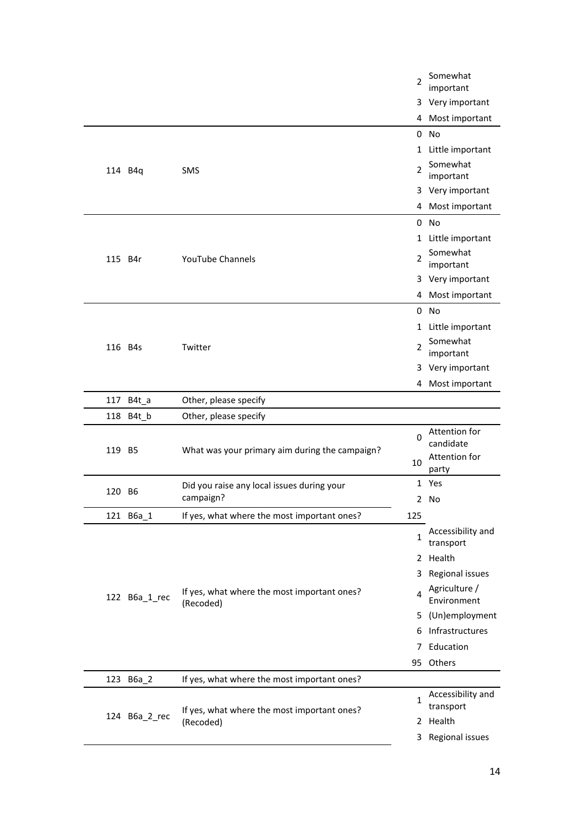|  |               |                                                          | 2              | Somewhat<br>important          |
|--|---------------|----------------------------------------------------------|----------------|--------------------------------|
|  |               |                                                          |                | 3 Very important               |
|  |               |                                                          | 4              | Most important                 |
|  |               |                                                          | 0              | <b>No</b>                      |
|  |               |                                                          | $1\,$          | Little important               |
|  | 114 B4q       | <b>SMS</b>                                               | $\mathfrak{p}$ | Somewhat<br>important          |
|  |               |                                                          |                | 3 Very important               |
|  |               |                                                          | 4              | Most important                 |
|  |               |                                                          | 0              | <b>No</b>                      |
|  |               |                                                          |                | 1 Little important             |
|  | 115 B4r       | <b>YouTube Channels</b>                                  | 2              | Somewhat<br>important          |
|  |               |                                                          |                | 3 Very important               |
|  |               |                                                          | 4              | Most important                 |
|  |               |                                                          |                | $0$ No                         |
|  |               |                                                          | 1              | Little important               |
|  | 116 B4s       | Twitter                                                  | 2              | Somewhat<br>important          |
|  |               |                                                          |                | 3 Very important               |
|  |               |                                                          |                | 4 Most important               |
|  | 117 B4t_a     | Other, please specify                                    |                |                                |
|  | 118 B4t_b     | Other, please specify                                    |                |                                |
|  | 119 B5        | What was your primary aim during the campaign?           | 0              | Attention for<br>candidate     |
|  |               |                                                          | 10             | Attention for<br>party         |
|  | 120 B6        | Did you raise any local issues during your               |                | 1 Yes                          |
|  |               | campaign?                                                |                | 2 No                           |
|  | 121 B6a_1     | If yes, what where the most important ones?              | 125            |                                |
|  |               |                                                          | 1              | Accessibility and<br>transport |
|  |               |                                                          |                | 2 Health                       |
|  |               |                                                          | 3              | Regional issues                |
|  | 122 B6a_1_rec | If yes, what where the most important ones?<br>(Recoded) | 4              | Agriculture /<br>Environment   |
|  |               |                                                          | 5.             | (Un)employment                 |
|  |               |                                                          |                | 6 Infrastructures              |
|  |               |                                                          | 7              | Education                      |
|  |               |                                                          |                | 95 Others                      |
|  | 123 B6a_2     | If yes, what where the most important ones?              |                |                                |
|  |               |                                                          | 1              | Accessibility and              |
|  | 124 B6a_2_rec | If yes, what where the most important ones?<br>(Recoded) |                | transport                      |
|  |               |                                                          |                |                                |
|  |               |                                                          |                | 2 Health<br>3 Regional issues  |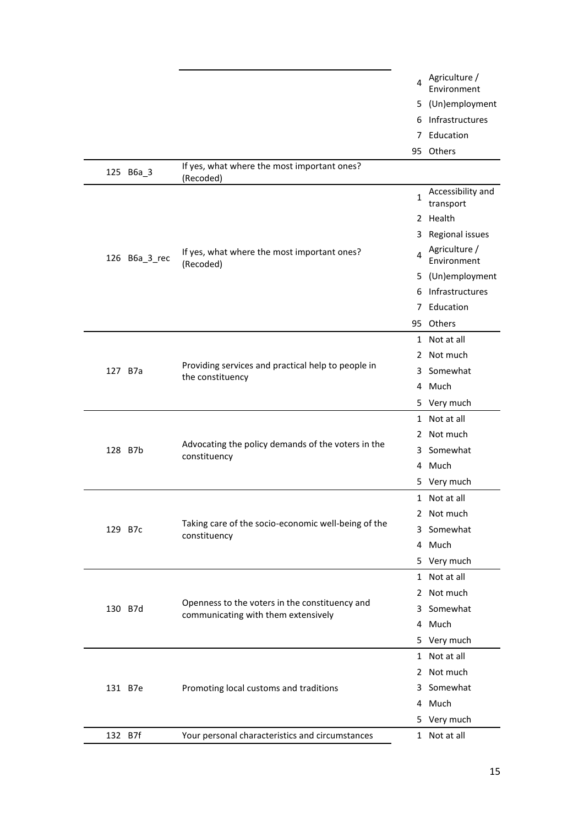|  |         |               |                                                                                       | 4  | Agriculture /<br>Environment                                                                                                                                                                                                                                                                                                                                                                                                                                    |
|--|---------|---------------|---------------------------------------------------------------------------------------|----|-----------------------------------------------------------------------------------------------------------------------------------------------------------------------------------------------------------------------------------------------------------------------------------------------------------------------------------------------------------------------------------------------------------------------------------------------------------------|
|  |         |               |                                                                                       | 5. | (Un)employment                                                                                                                                                                                                                                                                                                                                                                                                                                                  |
|  |         |               |                                                                                       | 6  | Infrastructures                                                                                                                                                                                                                                                                                                                                                                                                                                                 |
|  |         |               |                                                                                       | 7  | Education                                                                                                                                                                                                                                                                                                                                                                                                                                                       |
|  |         |               |                                                                                       |    |                                                                                                                                                                                                                                                                                                                                                                                                                                                                 |
|  |         | 125 B6a_3     | If yes, what where the most important ones?<br>(Recoded)                              |    |                                                                                                                                                                                                                                                                                                                                                                                                                                                                 |
|  |         |               |                                                                                       | 1  | Accessibility and<br>transport                                                                                                                                                                                                                                                                                                                                                                                                                                  |
|  |         |               |                                                                                       |    |                                                                                                                                                                                                                                                                                                                                                                                                                                                                 |
|  |         |               |                                                                                       | 3  | Regional issues                                                                                                                                                                                                                                                                                                                                                                                                                                                 |
|  |         | 126 B6a_3_rec | If yes, what where the most important ones?<br>(Recoded)                              | 4  | 95 Others<br>2 Health<br>Agriculture /<br>Environment<br>(Un)employment<br>Infrastructures<br>Education<br>95 Others<br>1 Not at all<br>Not much<br>Somewhat<br>4 Much<br>5 Very much<br>Not at all<br>Not much<br>Somewhat<br>Much<br>5 Very much<br>1 Not at all<br>2 Not much<br>Somewhat<br>Much<br>Very much<br>Not at all<br>Not much<br>Somewhat<br>Much<br>5 Very much<br>1 Not at all<br>Not much<br>Somewhat<br>4 Much<br>5 Very much<br>1 Not at all |
|  |         |               |                                                                                       | 5. |                                                                                                                                                                                                                                                                                                                                                                                                                                                                 |
|  |         |               |                                                                                       | 6. |                                                                                                                                                                                                                                                                                                                                                                                                                                                                 |
|  |         |               |                                                                                       | 7  |                                                                                                                                                                                                                                                                                                                                                                                                                                                                 |
|  |         |               |                                                                                       |    |                                                                                                                                                                                                                                                                                                                                                                                                                                                                 |
|  |         |               |                                                                                       |    |                                                                                                                                                                                                                                                                                                                                                                                                                                                                 |
|  |         |               |                                                                                       | 2  |                                                                                                                                                                                                                                                                                                                                                                                                                                                                 |
|  |         | 127 B7a       | Providing services and practical help to people in<br>the constituency                | 3  |                                                                                                                                                                                                                                                                                                                                                                                                                                                                 |
|  |         |               |                                                                                       |    |                                                                                                                                                                                                                                                                                                                                                                                                                                                                 |
|  |         |               |                                                                                       |    |                                                                                                                                                                                                                                                                                                                                                                                                                                                                 |
|  |         |               |                                                                                       | 1  |                                                                                                                                                                                                                                                                                                                                                                                                                                                                 |
|  |         |               |                                                                                       | 2  |                                                                                                                                                                                                                                                                                                                                                                                                                                                                 |
|  |         | 128 B7b       | Advocating the policy demands of the voters in the<br>constituency                    | 3. |                                                                                                                                                                                                                                                                                                                                                                                                                                                                 |
|  |         |               |                                                                                       | 4  |                                                                                                                                                                                                                                                                                                                                                                                                                                                                 |
|  |         |               |                                                                                       |    |                                                                                                                                                                                                                                                                                                                                                                                                                                                                 |
|  |         |               |                                                                                       |    |                                                                                                                                                                                                                                                                                                                                                                                                                                                                 |
|  |         |               |                                                                                       |    |                                                                                                                                                                                                                                                                                                                                                                                                                                                                 |
|  | 129 B7c |               | Taking care of the socio-economic well-being of the<br>constituency                   | 3  |                                                                                                                                                                                                                                                                                                                                                                                                                                                                 |
|  |         |               |                                                                                       | 4  |                                                                                                                                                                                                                                                                                                                                                                                                                                                                 |
|  |         |               |                                                                                       | 5  |                                                                                                                                                                                                                                                                                                                                                                                                                                                                 |
|  |         |               |                                                                                       | 1  |                                                                                                                                                                                                                                                                                                                                                                                                                                                                 |
|  |         |               |                                                                                       | 2  |                                                                                                                                                                                                                                                                                                                                                                                                                                                                 |
|  |         | 130 B7d       | Openness to the voters in the constituency and<br>communicating with them extensively | 3  |                                                                                                                                                                                                                                                                                                                                                                                                                                                                 |
|  |         |               |                                                                                       | 4  |                                                                                                                                                                                                                                                                                                                                                                                                                                                                 |
|  |         |               |                                                                                       |    |                                                                                                                                                                                                                                                                                                                                                                                                                                                                 |
|  |         |               |                                                                                       |    |                                                                                                                                                                                                                                                                                                                                                                                                                                                                 |
|  |         |               |                                                                                       | 2  |                                                                                                                                                                                                                                                                                                                                                                                                                                                                 |
|  |         | 131 B7e       | Promoting local customs and traditions                                                | 3. |                                                                                                                                                                                                                                                                                                                                                                                                                                                                 |
|  |         |               |                                                                                       |    |                                                                                                                                                                                                                                                                                                                                                                                                                                                                 |
|  |         |               |                                                                                       |    |                                                                                                                                                                                                                                                                                                                                                                                                                                                                 |
|  | 132 B7f |               | Your personal characteristics and circumstances                                       |    |                                                                                                                                                                                                                                                                                                                                                                                                                                                                 |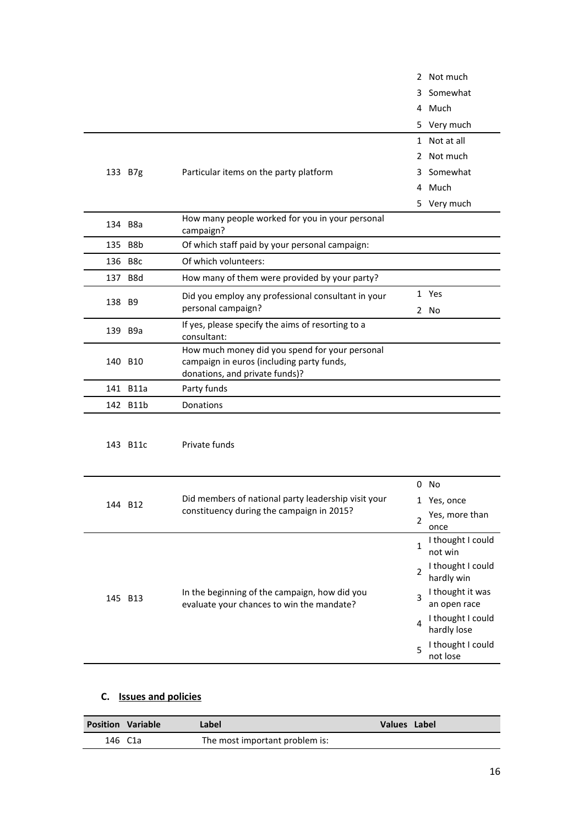|          |                                                                                                                               |                | 2 Not much                                                                                     |
|----------|-------------------------------------------------------------------------------------------------------------------------------|----------------|------------------------------------------------------------------------------------------------|
|          |                                                                                                                               | 3              | Somewhat                                                                                       |
|          |                                                                                                                               |                | 4 Much                                                                                         |
|          |                                                                                                                               |                | 5 Very much                                                                                    |
|          |                                                                                                                               |                | 1 Not at all                                                                                   |
|          |                                                                                                                               |                | 2 Not much                                                                                     |
| 133 B7g  | Particular items on the party platform                                                                                        |                | 3 Somewhat                                                                                     |
|          |                                                                                                                               |                | 4 Much                                                                                         |
|          |                                                                                                                               |                | 5 Very much                                                                                    |
| 134 B8a  | How many people worked for you in your personal<br>campaign?                                                                  |                |                                                                                                |
| 135 B8b  | Of which staff paid by your personal campaign:                                                                                |                |                                                                                                |
| 136 B8c  | Of which volunteers:                                                                                                          |                |                                                                                                |
| 137 B8d  | How many of them were provided by your party?                                                                                 |                |                                                                                                |
|          | Did you employ any professional consultant in your                                                                            |                | 1 Yes                                                                                          |
| 138 B9   | personal campaign?                                                                                                            |                | 2 No                                                                                           |
| 139 B9a  | If yes, please specify the aims of resorting to a<br>consultant:                                                              |                |                                                                                                |
| 140 B10  | How much money did you spend for your personal<br>campaign in euros (including party funds,<br>donations, and private funds)? |                |                                                                                                |
| 141 B11a | Party funds                                                                                                                   |                |                                                                                                |
| 142 B11b | Donations                                                                                                                     |                |                                                                                                |
| 143 B11c | Private funds                                                                                                                 |                |                                                                                                |
|          |                                                                                                                               |                | $0$ No                                                                                         |
| 144 B12  | Did members of national party leadership visit your                                                                           |                | 1 Yes, once                                                                                    |
|          | constituency during the campaign in 2015?                                                                                     | $\overline{2}$ | Yes, more than<br>once                                                                         |
|          |                                                                                                                               | $\mathbf{1}$   | I thought I could<br>not win                                                                   |
|          |                                                                                                                               | 2              | I thought I could                                                                              |
|          |                                                                                                                               |                |                                                                                                |
| 145 B13  | In the beginning of the campaign, how did you<br>evaluate your chances to win the mandate?                                    | 3              |                                                                                                |
|          |                                                                                                                               | 4              | I thought I could                                                                              |
|          |                                                                                                                               | 5              | hardly win<br>I thought it was<br>an open race<br>hardly lose<br>I thought I could<br>not lose |

# **C. Issues and policies**

| <b>Position Variable</b> | Label                          | Values Label |  |
|--------------------------|--------------------------------|--------------|--|
| 146 C1a                  | The most important problem is: |              |  |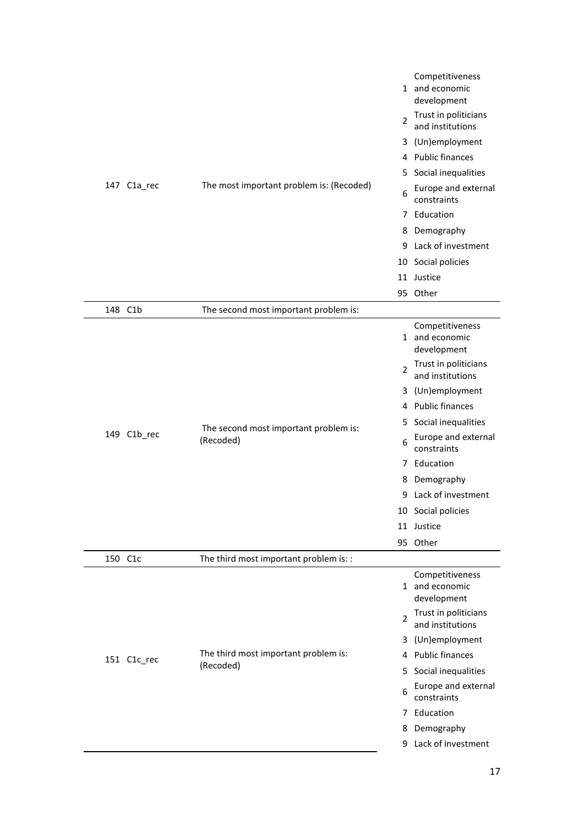|         | 147 C1a_rec | The most important problem is: (Recoded)           | $\overline{2}$<br>5<br>6<br>8<br>9<br>10 | Competitiveness<br>1 and economic<br>development<br>Trust in politicians<br>and institutions<br>3 (Un)employment<br>4 Public finances<br>Social inequalities<br>Europe and external<br>constraints<br>7 Education<br>Demography<br>Lack of investment<br>Social policies<br>11 Justice<br>95 Other   |
|---------|-------------|----------------------------------------------------|------------------------------------------|------------------------------------------------------------------------------------------------------------------------------------------------------------------------------------------------------------------------------------------------------------------------------------------------------|
| 148 C1b |             | The second most important problem is:              |                                          |                                                                                                                                                                                                                                                                                                      |
|         | 149 C1b_rec | The second most important problem is:<br>(Recoded) | $\mathfrak{p}$<br>5.<br>6<br>8<br>95     | Competitiveness<br>1 and economic<br>development<br>Trust in politicians<br>and institutions<br>3 (Un)employment<br>4 Public finances<br>Social inequalities<br>Europe and external<br>constraints<br>7 Education<br>Demography<br>9 Lack of investment<br>10 Social policies<br>11 Justice<br>Other |
| 150 C1c |             | The third most important problem is: :             |                                          |                                                                                                                                                                                                                                                                                                      |
|         | 151 C1c_rec | The third most important problem is:<br>(Recoded)  | $\overline{2}$<br>3<br>5.<br>6<br>8      | Competitiveness<br>1 and economic<br>development<br>Trust in politicians<br>and institutions<br>(Un)employment<br>4 Public finances<br>Social inequalities<br>Europe and external<br>constraints<br>7 Education<br>Demography                                                                        |
|         |             |                                                    | 9                                        | Lack of investment                                                                                                                                                                                                                                                                                   |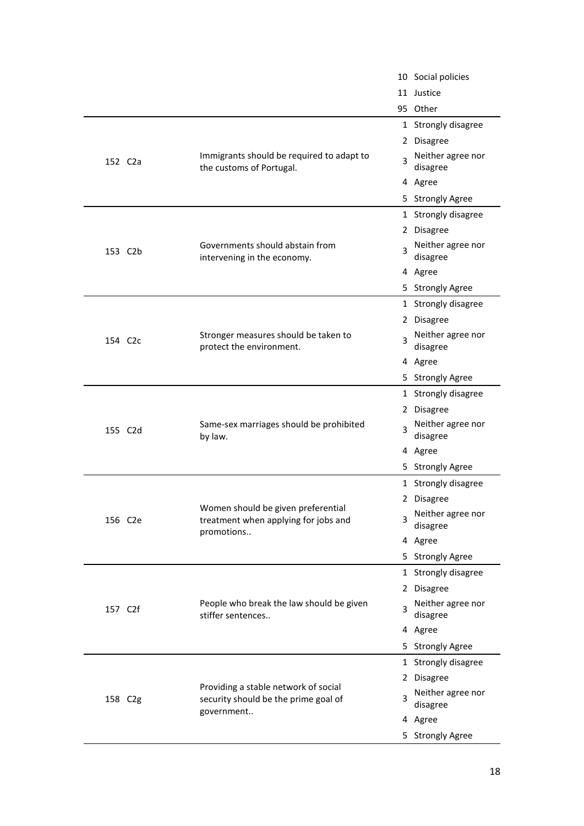|                      |                                                                                          |    | 10 Social policies            |
|----------------------|------------------------------------------------------------------------------------------|----|-------------------------------|
|                      |                                                                                          |    | 11 Justice                    |
|                      |                                                                                          |    | 95 Other                      |
|                      |                                                                                          |    | 1 Strongly disagree           |
|                      |                                                                                          |    | 2 Disagree                    |
| 152 C <sub>2</sub> a | Immigrants should be required to adapt to<br>the customs of Portugal.                    | 3  | Neither agree nor<br>disagree |
|                      |                                                                                          |    | 4 Agree                       |
|                      |                                                                                          | 5. | <b>Strongly Agree</b>         |
|                      |                                                                                          |    | 1 Strongly disagree           |
|                      |                                                                                          |    | 2 Disagree                    |
| 153 C2b              | Governments should abstain from<br>intervening in the economy.                           | 3  | Neither agree nor<br>disagree |
|                      |                                                                                          |    | 4 Agree                       |
|                      |                                                                                          |    | 5 Strongly Agree              |
|                      |                                                                                          |    | 1 Strongly disagree           |
|                      |                                                                                          |    | 2 Disagree                    |
| 154 C <sub>2</sub> c | Stronger measures should be taken to<br>protect the environment.                         | 3  | Neither agree nor<br>disagree |
|                      |                                                                                          |    | 4 Agree                       |
|                      |                                                                                          |    | 5 Strongly Agree              |
|                      |                                                                                          |    | 1 Strongly disagree           |
|                      |                                                                                          |    | 2 Disagree                    |
| 155 C2d              | Same-sex marriages should be prohibited<br>by law.                                       | 3  | Neither agree nor<br>disagree |
|                      |                                                                                          |    | 4 Agree                       |
|                      |                                                                                          |    | 5 Strongly Agree              |
|                      |                                                                                          |    | 1 Strongly disagree           |
|                      |                                                                                          |    | 2 Disagree                    |
| 156 C2e              | Women should be given preferential<br>treatment when applying for jobs and<br>promotions | 3  | Neither agree nor<br>disagree |
|                      |                                                                                          |    | 4 Agree                       |
|                      |                                                                                          |    | 5 Strongly Agree              |
|                      |                                                                                          |    | 1 Strongly disagree           |
|                      |                                                                                          |    | 2 Disagree                    |
| 157 C2f              | People who break the law should be given<br>stiffer sentences                            | 3  | Neither agree nor<br>disagree |
|                      |                                                                                          |    | 4 Agree                       |
|                      |                                                                                          |    | 5 Strongly Agree              |
|                      |                                                                                          |    | 1 Strongly disagree           |
|                      | Providing a stable network of social                                                     |    | 2 Disagree                    |
| 158 C2g              | security should be the prime goal of<br>government                                       | 3  | Neither agree nor<br>disagree |
|                      |                                                                                          |    | 4 Agree                       |
|                      |                                                                                          |    | 5 Strongly Agree              |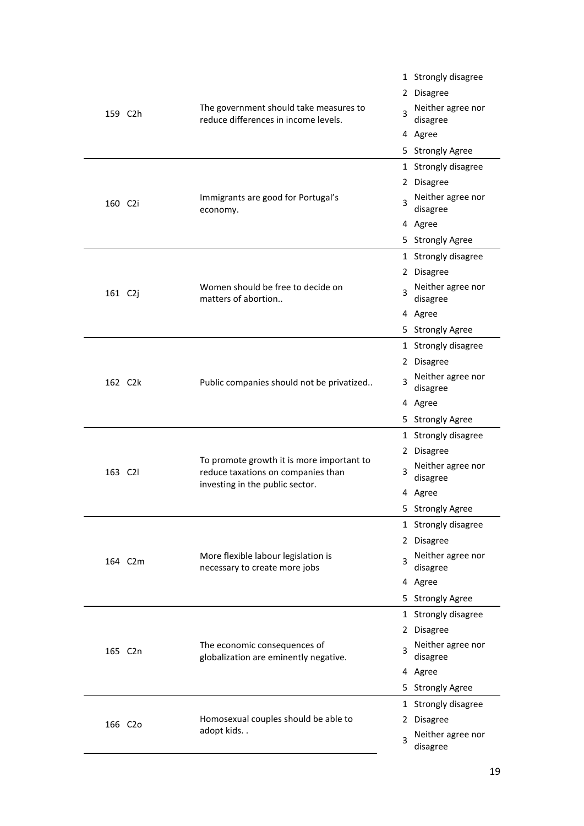|         |                                                                                | 1 Strongly disagree                |
|---------|--------------------------------------------------------------------------------|------------------------------------|
|         |                                                                                | 2 Disagree                         |
| 159 C2h | The government should take measures to<br>reduce differences in income levels. | Neither agree nor<br>3<br>disagree |
|         |                                                                                | 4 Agree                            |
|         |                                                                                | 5 Strongly Agree                   |
|         |                                                                                | 1 Strongly disagree                |
|         |                                                                                | 2 Disagree                         |
| 160 C2i | Immigrants are good for Portugal's<br>economy.                                 | Neither agree nor<br>3<br>disagree |
|         |                                                                                | 4 Agree                            |
|         |                                                                                | 5 Strongly Agree                   |
|         |                                                                                | 1 Strongly disagree                |
|         |                                                                                | 2 Disagree                         |
| 161 C2j | Women should be free to decide on<br>matters of abortion                       | Neither agree nor<br>3<br>disagree |
|         |                                                                                | 4 Agree                            |
|         |                                                                                | 5 Strongly Agree                   |
|         |                                                                                | 1 Strongly disagree                |
|         |                                                                                | 2 Disagree                         |
| 162 C2k | Public companies should not be privatized                                      | Neither agree nor<br>3<br>disagree |
|         |                                                                                | 4 Agree                            |
|         |                                                                                | 5 Strongly Agree                   |
|         |                                                                                | 1 Strongly disagree                |
|         | To promote growth it is more important to                                      | 2 Disagree                         |
| 163 C2I | reduce taxations on companies than<br>investing in the public sector.          | Neither agree nor<br>3<br>disagree |
|         |                                                                                | 4 Agree                            |
|         |                                                                                | <b>Strongly Agree</b><br>5.        |
|         |                                                                                | 1 Strongly disagree                |
|         |                                                                                | 2 Disagree                         |
| 164 C2m | More flexible labour legislation is<br>necessary to create more jobs           | Neither agree nor<br>3<br>disagree |
|         |                                                                                | 4 Agree                            |
|         |                                                                                | 5 Strongly Agree                   |
|         |                                                                                | 1 Strongly disagree                |
|         |                                                                                | 2 Disagree                         |
| 165 C2n | The economic consequences of<br>globalization are eminently negative.          | Neither agree nor<br>3<br>disagree |
|         |                                                                                | 4 Agree                            |
|         |                                                                                | 5 Strongly Agree                   |
|         |                                                                                | 1 Strongly disagree                |
| 166 C2o | Homosexual couples should be able to                                           | 2 Disagree                         |
|         | adopt kids                                                                     | Neither agree nor<br>3<br>disagree |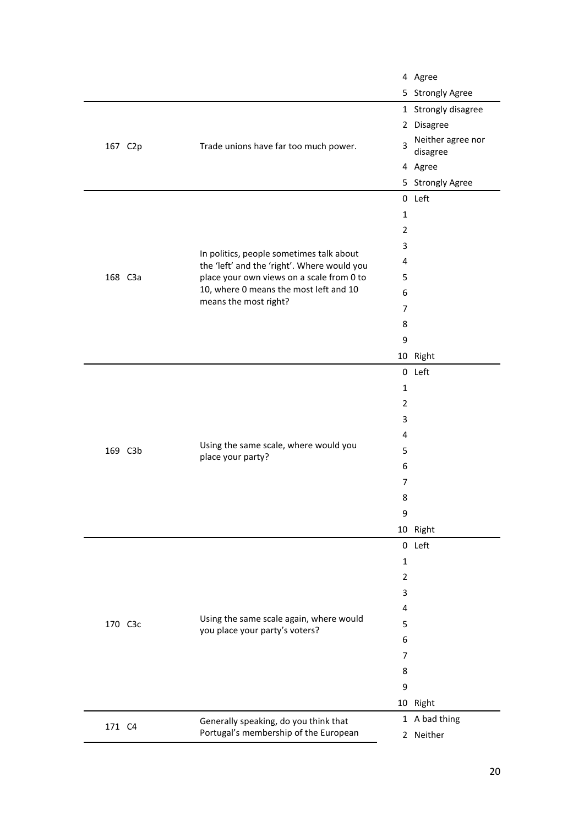|         |         |                                                                                         |                | 4 Agree             |
|---------|---------|-----------------------------------------------------------------------------------------|----------------|---------------------|
|         |         |                                                                                         |                | 5 Strongly Agree    |
|         |         |                                                                                         |                | 1 Strongly disagree |
|         |         |                                                                                         |                | 2 Disagree          |
|         | 167 C2p | Neither agree nor<br>3<br>Trade unions have far too much power.<br>disagree             |                |                     |
|         |         |                                                                                         |                | 4 Agree             |
|         |         |                                                                                         |                | 5 Strongly Agree    |
|         |         |                                                                                         |                | 0 Left              |
|         |         |                                                                                         | 1              |                     |
|         |         |                                                                                         | $\overline{2}$ |                     |
|         |         |                                                                                         | 3              |                     |
|         |         | In politics, people sometimes talk about<br>the 'left' and the 'right'. Where would you | 4              |                     |
| 168 C3a |         | place your own views on a scale from 0 to                                               | 5              |                     |
|         |         | 10, where 0 means the most left and 10                                                  | 6              |                     |
|         |         | means the most right?                                                                   | 7              |                     |
|         |         |                                                                                         | 8              |                     |
|         |         |                                                                                         | 9              |                     |
|         |         |                                                                                         |                | 10 Right            |
|         |         | 0 Left<br>1<br>2<br>3                                                                   |                |                     |
|         |         |                                                                                         |                |                     |
|         |         |                                                                                         |                |                     |
|         |         |                                                                                         |                |                     |
|         |         |                                                                                         | 4              |                     |
| 169 C3b |         | Using the same scale, where would you<br>place your party?                              | 5              |                     |
|         |         |                                                                                         | 6              |                     |
|         |         |                                                                                         | 7              |                     |
|         |         |                                                                                         | 8              |                     |
|         |         |                                                                                         | 9              |                     |
|         |         |                                                                                         |                | 10 Right            |
|         |         |                                                                                         |                | 0 Left              |
|         |         |                                                                                         | 1              |                     |
|         |         |                                                                                         | $\overline{2}$ |                     |
|         |         |                                                                                         | 3              |                     |
|         |         |                                                                                         | 4              |                     |
| 170 C3c |         | Using the same scale again, where would<br>you place your party's voters?               | 5              |                     |
|         |         |                                                                                         | 6              |                     |
|         |         |                                                                                         | 7              |                     |
|         |         |                                                                                         | 8              |                     |
|         |         |                                                                                         | 9              |                     |
|         |         |                                                                                         |                | 10 Right            |
| 171 C4  |         | Generally speaking, do you think that                                                   |                | 1 A bad thing       |
|         |         | Portugal's membership of the European                                                   |                | 2 Neither           |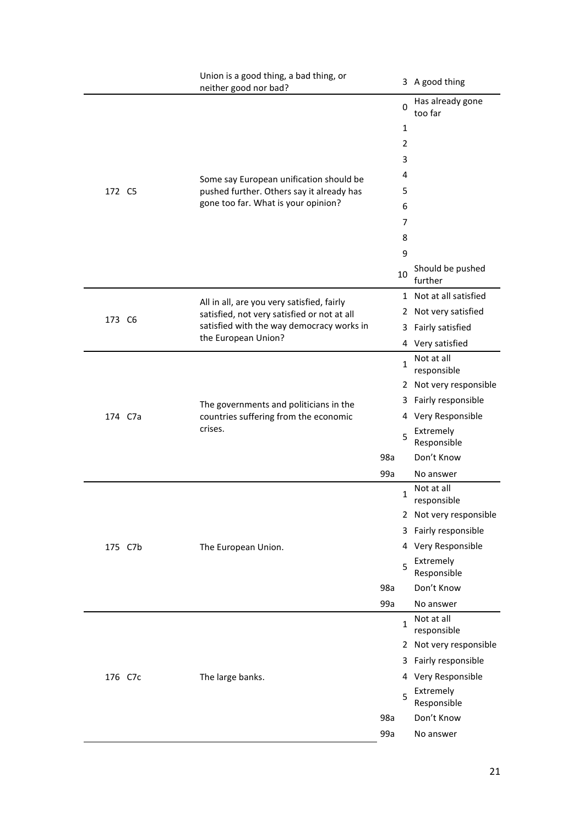|         | Union is a good thing, a bad thing, or<br>neither good nor bad?                            |                                  |                |                                                                                                                                                                                                                                                                                                                                        |
|---------|--------------------------------------------------------------------------------------------|----------------------------------|----------------|----------------------------------------------------------------------------------------------------------------------------------------------------------------------------------------------------------------------------------------------------------------------------------------------------------------------------------------|
|         |                                                                                            | Has already gone<br>0<br>too far |                |                                                                                                                                                                                                                                                                                                                                        |
|         |                                                                                            |                                  | 1              |                                                                                                                                                                                                                                                                                                                                        |
|         |                                                                                            |                                  | $\overline{2}$ | 3 A good thing<br>Should be pushed<br>further<br>Fairly satisfied<br>Not at all<br>responsible<br>Fairly responsible<br>Extremely<br>Responsible<br>Don't Know<br>No answer<br>Not at all<br>responsible<br>Fairly responsible<br>Very Responsible<br>Extremely<br>Responsible<br>Don't Know<br>No answer<br>Not at all<br>responsible |
|         |                                                                                            |                                  | 3              |                                                                                                                                                                                                                                                                                                                                        |
|         | Some say European unification should be                                                    |                                  | 4              |                                                                                                                                                                                                                                                                                                                                        |
| 172 C5  | pushed further. Others say it already has                                                  |                                  | 5              |                                                                                                                                                                                                                                                                                                                                        |
|         | gone too far. What is your opinion?                                                        |                                  | 6              |                                                                                                                                                                                                                                                                                                                                        |
|         |                                                                                            |                                  | 7              |                                                                                                                                                                                                                                                                                                                                        |
|         |                                                                                            |                                  | 8              |                                                                                                                                                                                                                                                                                                                                        |
|         |                                                                                            |                                  | 9              |                                                                                                                                                                                                                                                                                                                                        |
|         |                                                                                            |                                  | 10             |                                                                                                                                                                                                                                                                                                                                        |
|         | All in all, are you very satisfied, fairly                                                 |                                  |                |                                                                                                                                                                                                                                                                                                                                        |
| 173 C6  | satisfied, not very satisfied or not at all                                                |                                  |                |                                                                                                                                                                                                                                                                                                                                        |
|         | satisfied with the way democracy works in<br>the European Union?                           |                                  | 3              |                                                                                                                                                                                                                                                                                                                                        |
|         |                                                                                            |                                  |                |                                                                                                                                                                                                                                                                                                                                        |
|         |                                                                                            |                                  | 1              |                                                                                                                                                                                                                                                                                                                                        |
|         | The governments and politicians in the<br>countries suffering from the economic<br>crises. |                                  |                |                                                                                                                                                                                                                                                                                                                                        |
|         |                                                                                            |                                  | 3              |                                                                                                                                                                                                                                                                                                                                        |
| 174 C7a |                                                                                            |                                  | 4              |                                                                                                                                                                                                                                                                                                                                        |
|         |                                                                                            |                                  | 5              |                                                                                                                                                                                                                                                                                                                                        |
|         |                                                                                            | 98a                              |                |                                                                                                                                                                                                                                                                                                                                        |
|         |                                                                                            | 99a                              |                |                                                                                                                                                                                                                                                                                                                                        |
|         |                                                                                            |                                  |                |                                                                                                                                                                                                                                                                                                                                        |
|         |                                                                                            |                                  | $\mathbf{1}$   |                                                                                                                                                                                                                                                                                                                                        |
|         |                                                                                            |                                  |                |                                                                                                                                                                                                                                                                                                                                        |
|         |                                                                                            |                                  | 3              |                                                                                                                                                                                                                                                                                                                                        |
| 175 C7b | The European Union.                                                                        |                                  | 4              |                                                                                                                                                                                                                                                                                                                                        |
|         |                                                                                            |                                  | 5              |                                                                                                                                                                                                                                                                                                                                        |
|         |                                                                                            | 98a                              |                |                                                                                                                                                                                                                                                                                                                                        |
|         |                                                                                            | 99a                              |                |                                                                                                                                                                                                                                                                                                                                        |
|         |                                                                                            |                                  | $\mathbf{1}$   |                                                                                                                                                                                                                                                                                                                                        |
|         |                                                                                            |                                  |                |                                                                                                                                                                                                                                                                                                                                        |
|         |                                                                                            |                                  | 3              | Fairly responsible                                                                                                                                                                                                                                                                                                                     |
| 176 C7c | The large banks.                                                                           |                                  | 4              |                                                                                                                                                                                                                                                                                                                                        |
|         |                                                                                            |                                  | 5              | 1 Not at all satisfied<br>2 Not very satisfied<br>4 Very satisfied<br>2 Not very responsible<br>Very Responsible<br>2 Not very responsible<br>2 Not very responsible<br>Very Responsible<br>Extremely<br>Responsible<br>Don't Know<br>No answer                                                                                        |
|         |                                                                                            | 98a                              |                |                                                                                                                                                                                                                                                                                                                                        |
|         |                                                                                            | 99a                              |                |                                                                                                                                                                                                                                                                                                                                        |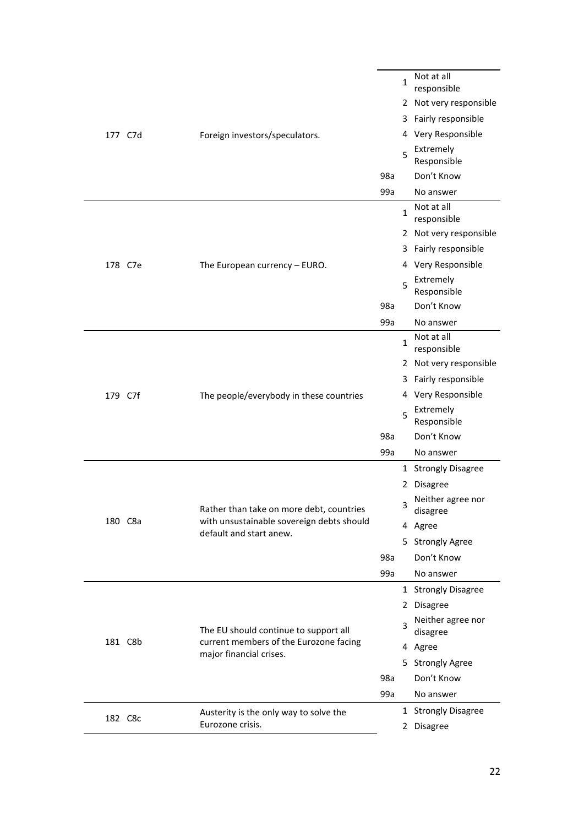| 2 Not very responsible<br>3 Fairly responsible<br>4 Very Responsible<br>Foreign investors/speculators.<br>177 C7d<br>Extremely<br>5<br>Responsible<br>98a<br>Don't Know<br>99a<br>No answer<br>Not at all<br>$\mathbf{1}$<br>responsible<br>2 Not very responsible<br>Fairly responsible<br>3.<br>4 Very Responsible<br>178 C7e<br>The European currency - EURO.<br>Extremely<br>5<br>Responsible<br>Don't Know<br>98a<br>99a<br>No answer<br>Not at all<br>1<br>responsible<br>2 Not very responsible<br>Fairly responsible<br>3<br>4 Very Responsible<br>179 C7f<br>The people/everybody in these countries<br>Extremely<br>5<br>Responsible<br>Don't Know<br>98a<br>99a<br>No answer<br>1 Strongly Disagree<br>2 Disagree<br>Neither agree nor<br>3<br>Rather than take on more debt, countries<br>disagree<br>with unsustainable sovereign debts should<br>180 C8a<br>4 Agree<br>default and start anew.<br>5 Strongly Agree<br>98a<br>Don't Know<br>99a<br>No answer<br>1 Strongly Disagree<br>2 Disagree<br>Neither agree nor<br>3<br>The EU should continue to support all<br>disagree<br>181 C8b<br>current members of the Eurozone facing<br>4 Agree<br>major financial crises.<br>5 Strongly Agree<br>Don't Know<br>98a<br>99a<br>No answer<br>1 Strongly Disagree<br>Austerity is the only way to solve the<br>182 C8c<br>Eurozone crisis.<br><b>Disagree</b><br>2 |  | Not at all<br>1<br>responsible |  |  |  |
|-------------------------------------------------------------------------------------------------------------------------------------------------------------------------------------------------------------------------------------------------------------------------------------------------------------------------------------------------------------------------------------------------------------------------------------------------------------------------------------------------------------------------------------------------------------------------------------------------------------------------------------------------------------------------------------------------------------------------------------------------------------------------------------------------------------------------------------------------------------------------------------------------------------------------------------------------------------------------------------------------------------------------------------------------------------------------------------------------------------------------------------------------------------------------------------------------------------------------------------------------------------------------------------------------------------------------------------------------------------------------------|--|--------------------------------|--|--|--|
|                                                                                                                                                                                                                                                                                                                                                                                                                                                                                                                                                                                                                                                                                                                                                                                                                                                                                                                                                                                                                                                                                                                                                                                                                                                                                                                                                                               |  |                                |  |  |  |
|                                                                                                                                                                                                                                                                                                                                                                                                                                                                                                                                                                                                                                                                                                                                                                                                                                                                                                                                                                                                                                                                                                                                                                                                                                                                                                                                                                               |  |                                |  |  |  |
|                                                                                                                                                                                                                                                                                                                                                                                                                                                                                                                                                                                                                                                                                                                                                                                                                                                                                                                                                                                                                                                                                                                                                                                                                                                                                                                                                                               |  |                                |  |  |  |
|                                                                                                                                                                                                                                                                                                                                                                                                                                                                                                                                                                                                                                                                                                                                                                                                                                                                                                                                                                                                                                                                                                                                                                                                                                                                                                                                                                               |  |                                |  |  |  |
|                                                                                                                                                                                                                                                                                                                                                                                                                                                                                                                                                                                                                                                                                                                                                                                                                                                                                                                                                                                                                                                                                                                                                                                                                                                                                                                                                                               |  |                                |  |  |  |
|                                                                                                                                                                                                                                                                                                                                                                                                                                                                                                                                                                                                                                                                                                                                                                                                                                                                                                                                                                                                                                                                                                                                                                                                                                                                                                                                                                               |  |                                |  |  |  |
|                                                                                                                                                                                                                                                                                                                                                                                                                                                                                                                                                                                                                                                                                                                                                                                                                                                                                                                                                                                                                                                                                                                                                                                                                                                                                                                                                                               |  |                                |  |  |  |
|                                                                                                                                                                                                                                                                                                                                                                                                                                                                                                                                                                                                                                                                                                                                                                                                                                                                                                                                                                                                                                                                                                                                                                                                                                                                                                                                                                               |  |                                |  |  |  |
|                                                                                                                                                                                                                                                                                                                                                                                                                                                                                                                                                                                                                                                                                                                                                                                                                                                                                                                                                                                                                                                                                                                                                                                                                                                                                                                                                                               |  |                                |  |  |  |
|                                                                                                                                                                                                                                                                                                                                                                                                                                                                                                                                                                                                                                                                                                                                                                                                                                                                                                                                                                                                                                                                                                                                                                                                                                                                                                                                                                               |  |                                |  |  |  |
|                                                                                                                                                                                                                                                                                                                                                                                                                                                                                                                                                                                                                                                                                                                                                                                                                                                                                                                                                                                                                                                                                                                                                                                                                                                                                                                                                                               |  |                                |  |  |  |
|                                                                                                                                                                                                                                                                                                                                                                                                                                                                                                                                                                                                                                                                                                                                                                                                                                                                                                                                                                                                                                                                                                                                                                                                                                                                                                                                                                               |  |                                |  |  |  |
|                                                                                                                                                                                                                                                                                                                                                                                                                                                                                                                                                                                                                                                                                                                                                                                                                                                                                                                                                                                                                                                                                                                                                                                                                                                                                                                                                                               |  |                                |  |  |  |
|                                                                                                                                                                                                                                                                                                                                                                                                                                                                                                                                                                                                                                                                                                                                                                                                                                                                                                                                                                                                                                                                                                                                                                                                                                                                                                                                                                               |  |                                |  |  |  |
|                                                                                                                                                                                                                                                                                                                                                                                                                                                                                                                                                                                                                                                                                                                                                                                                                                                                                                                                                                                                                                                                                                                                                                                                                                                                                                                                                                               |  |                                |  |  |  |
|                                                                                                                                                                                                                                                                                                                                                                                                                                                                                                                                                                                                                                                                                                                                                                                                                                                                                                                                                                                                                                                                                                                                                                                                                                                                                                                                                                               |  |                                |  |  |  |
|                                                                                                                                                                                                                                                                                                                                                                                                                                                                                                                                                                                                                                                                                                                                                                                                                                                                                                                                                                                                                                                                                                                                                                                                                                                                                                                                                                               |  |                                |  |  |  |
|                                                                                                                                                                                                                                                                                                                                                                                                                                                                                                                                                                                                                                                                                                                                                                                                                                                                                                                                                                                                                                                                                                                                                                                                                                                                                                                                                                               |  |                                |  |  |  |
|                                                                                                                                                                                                                                                                                                                                                                                                                                                                                                                                                                                                                                                                                                                                                                                                                                                                                                                                                                                                                                                                                                                                                                                                                                                                                                                                                                               |  |                                |  |  |  |
|                                                                                                                                                                                                                                                                                                                                                                                                                                                                                                                                                                                                                                                                                                                                                                                                                                                                                                                                                                                                                                                                                                                                                                                                                                                                                                                                                                               |  |                                |  |  |  |
|                                                                                                                                                                                                                                                                                                                                                                                                                                                                                                                                                                                                                                                                                                                                                                                                                                                                                                                                                                                                                                                                                                                                                                                                                                                                                                                                                                               |  |                                |  |  |  |
|                                                                                                                                                                                                                                                                                                                                                                                                                                                                                                                                                                                                                                                                                                                                                                                                                                                                                                                                                                                                                                                                                                                                                                                                                                                                                                                                                                               |  |                                |  |  |  |
|                                                                                                                                                                                                                                                                                                                                                                                                                                                                                                                                                                                                                                                                                                                                                                                                                                                                                                                                                                                                                                                                                                                                                                                                                                                                                                                                                                               |  |                                |  |  |  |
|                                                                                                                                                                                                                                                                                                                                                                                                                                                                                                                                                                                                                                                                                                                                                                                                                                                                                                                                                                                                                                                                                                                                                                                                                                                                                                                                                                               |  |                                |  |  |  |
|                                                                                                                                                                                                                                                                                                                                                                                                                                                                                                                                                                                                                                                                                                                                                                                                                                                                                                                                                                                                                                                                                                                                                                                                                                                                                                                                                                               |  |                                |  |  |  |
|                                                                                                                                                                                                                                                                                                                                                                                                                                                                                                                                                                                                                                                                                                                                                                                                                                                                                                                                                                                                                                                                                                                                                                                                                                                                                                                                                                               |  |                                |  |  |  |
|                                                                                                                                                                                                                                                                                                                                                                                                                                                                                                                                                                                                                                                                                                                                                                                                                                                                                                                                                                                                                                                                                                                                                                                                                                                                                                                                                                               |  |                                |  |  |  |
|                                                                                                                                                                                                                                                                                                                                                                                                                                                                                                                                                                                                                                                                                                                                                                                                                                                                                                                                                                                                                                                                                                                                                                                                                                                                                                                                                                               |  |                                |  |  |  |
|                                                                                                                                                                                                                                                                                                                                                                                                                                                                                                                                                                                                                                                                                                                                                                                                                                                                                                                                                                                                                                                                                                                                                                                                                                                                                                                                                                               |  |                                |  |  |  |
|                                                                                                                                                                                                                                                                                                                                                                                                                                                                                                                                                                                                                                                                                                                                                                                                                                                                                                                                                                                                                                                                                                                                                                                                                                                                                                                                                                               |  |                                |  |  |  |
|                                                                                                                                                                                                                                                                                                                                                                                                                                                                                                                                                                                                                                                                                                                                                                                                                                                                                                                                                                                                                                                                                                                                                                                                                                                                                                                                                                               |  |                                |  |  |  |
|                                                                                                                                                                                                                                                                                                                                                                                                                                                                                                                                                                                                                                                                                                                                                                                                                                                                                                                                                                                                                                                                                                                                                                                                                                                                                                                                                                               |  |                                |  |  |  |
|                                                                                                                                                                                                                                                                                                                                                                                                                                                                                                                                                                                                                                                                                                                                                                                                                                                                                                                                                                                                                                                                                                                                                                                                                                                                                                                                                                               |  |                                |  |  |  |
|                                                                                                                                                                                                                                                                                                                                                                                                                                                                                                                                                                                                                                                                                                                                                                                                                                                                                                                                                                                                                                                                                                                                                                                                                                                                                                                                                                               |  |                                |  |  |  |
|                                                                                                                                                                                                                                                                                                                                                                                                                                                                                                                                                                                                                                                                                                                                                                                                                                                                                                                                                                                                                                                                                                                                                                                                                                                                                                                                                                               |  |                                |  |  |  |
|                                                                                                                                                                                                                                                                                                                                                                                                                                                                                                                                                                                                                                                                                                                                                                                                                                                                                                                                                                                                                                                                                                                                                                                                                                                                                                                                                                               |  |                                |  |  |  |
|                                                                                                                                                                                                                                                                                                                                                                                                                                                                                                                                                                                                                                                                                                                                                                                                                                                                                                                                                                                                                                                                                                                                                                                                                                                                                                                                                                               |  |                                |  |  |  |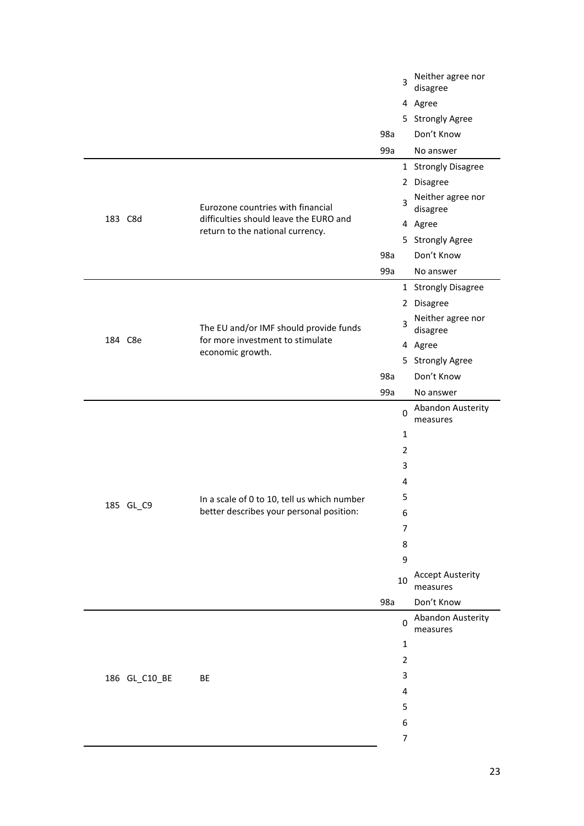|  |               |                                                                                                |     | 3              | Neither agree nor<br>disagree       |
|--|---------------|------------------------------------------------------------------------------------------------|-----|----------------|-------------------------------------|
|  |               |                                                                                                |     |                | 4 Agree                             |
|  |               |                                                                                                |     |                | 5 Strongly Agree                    |
|  |               |                                                                                                | 98a |                | Don't Know                          |
|  |               |                                                                                                | 99a |                | No answer                           |
|  |               |                                                                                                |     |                | 1 Strongly Disagree                 |
|  |               |                                                                                                |     |                | 2 Disagree                          |
|  |               | Eurozone countries with financial                                                              |     | 3              | Neither agree nor<br>disagree       |
|  | 183 C8d       | difficulties should leave the EURO and<br>return to the national currency.                     |     |                | 4 Agree                             |
|  |               |                                                                                                |     |                | 5 Strongly Agree                    |
|  |               |                                                                                                | 98a |                | Don't Know                          |
|  |               |                                                                                                | 99a |                | No answer                           |
|  |               |                                                                                                |     |                | 1 Strongly Disagree                 |
|  |               |                                                                                                |     |                | 2 Disagree                          |
|  |               | The EU and/or IMF should provide funds<br>for more investment to stimulate<br>economic growth. |     | 3              | Neither agree nor<br>disagree       |
|  | 184 C8e       |                                                                                                |     |                | 4 Agree                             |
|  |               |                                                                                                |     |                | 5 Strongly Agree                    |
|  |               |                                                                                                | 98a |                | Don't Know                          |
|  |               |                                                                                                | 99a |                | No answer                           |
|  |               |                                                                                                |     | 0              | Abandon Austerity<br>measures       |
|  |               |                                                                                                |     | 1              |                                     |
|  |               |                                                                                                |     | 2              |                                     |
|  |               |                                                                                                |     | 3              |                                     |
|  |               |                                                                                                |     | 4              |                                     |
|  | 185 GL_C9     | In a scale of 0 to 10, tell us which number                                                    |     | 5              |                                     |
|  |               | better describes your personal position:                                                       |     | 6              |                                     |
|  |               |                                                                                                |     | $\overline{7}$ |                                     |
|  |               |                                                                                                |     | 8              |                                     |
|  |               |                                                                                                |     | 9              |                                     |
|  |               |                                                                                                |     | 10             | <b>Accept Austerity</b><br>measures |
|  |               |                                                                                                | 98a |                | Don't Know                          |
|  |               |                                                                                                |     | 0              | Abandon Austerity<br>measures       |
|  |               |                                                                                                |     | $\mathbf{1}$   |                                     |
|  |               |                                                                                                |     | $\overline{2}$ |                                     |
|  | 186 GL_C10_BE | BE                                                                                             |     | 3              |                                     |
|  |               |                                                                                                |     | 4              |                                     |
|  |               |                                                                                                |     | 5              |                                     |
|  |               |                                                                                                |     | 6              |                                     |
|  |               |                                                                                                |     | $\overline{7}$ |                                     |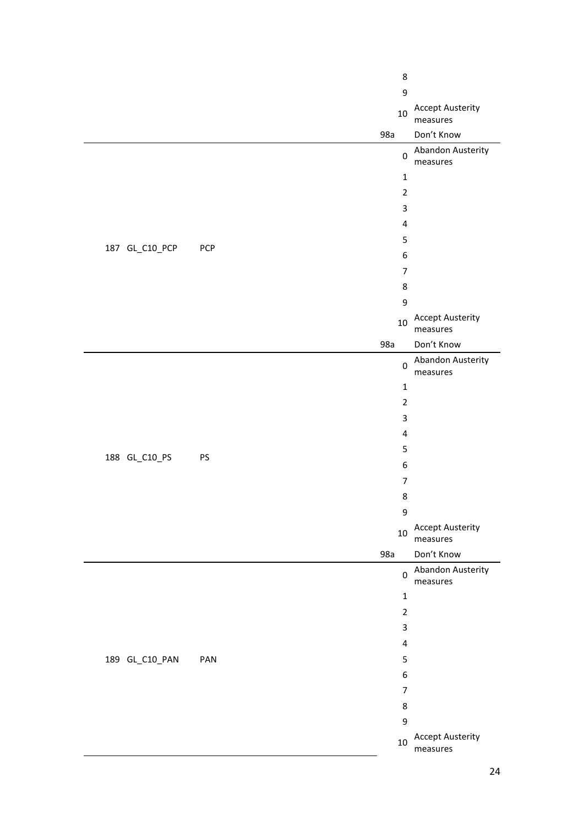|                |     | 8              |                                     |
|----------------|-----|----------------|-------------------------------------|
|                |     | 9              |                                     |
|                |     | $10\,$         | <b>Accept Austerity</b><br>measures |
|                |     | 98a            | Don't Know                          |
|                |     | $\pmb{0}$      | Abandon Austerity<br>measures       |
|                |     | $\mathbf{1}$   |                                     |
|                |     | $\overline{2}$ |                                     |
|                |     | 3              |                                     |
|                |     | $\pmb{4}$      |                                     |
|                |     | 5              |                                     |
| 187 GL_C10_PCP | PCP | 6              |                                     |
|                |     | $\overline{7}$ |                                     |
|                |     | 8              |                                     |
|                |     | 9              |                                     |
|                |     | 10             | <b>Accept Austerity</b><br>measures |
|                |     | 98a            | Don't Know                          |
|                |     | $\pmb{0}$      | Abandon Austerity<br>measures       |
|                |     | $\mathbf 1$    |                                     |
|                |     | $\overline{2}$ |                                     |
|                |     | 3              |                                     |
|                |     | $\pmb{4}$      |                                     |
| 188 GL_C10_PS  | PS  | 5              |                                     |
|                |     | 6              |                                     |
|                |     | $\overline{7}$ |                                     |
|                |     | 8              |                                     |
|                |     | 9              |                                     |
|                |     | 10             | <b>Accept Austerity</b><br>measures |
|                |     | 98a            | Don't Know                          |
|                |     | $\pmb{0}$      | Abandon Austerity<br>measures       |
|                |     | $\mathbf 1$    |                                     |
|                |     | $\overline{2}$ |                                     |
|                |     | 3              |                                     |
|                |     | $\pmb{4}$      |                                     |
| 189 GL_C10_PAN | PAN | 5              |                                     |
|                |     | 6              |                                     |
|                |     | $\overline{7}$ |                                     |
|                |     | 8              |                                     |
|                |     | 9              |                                     |
|                |     | $10\,$         | <b>Accept Austerity</b><br>measures |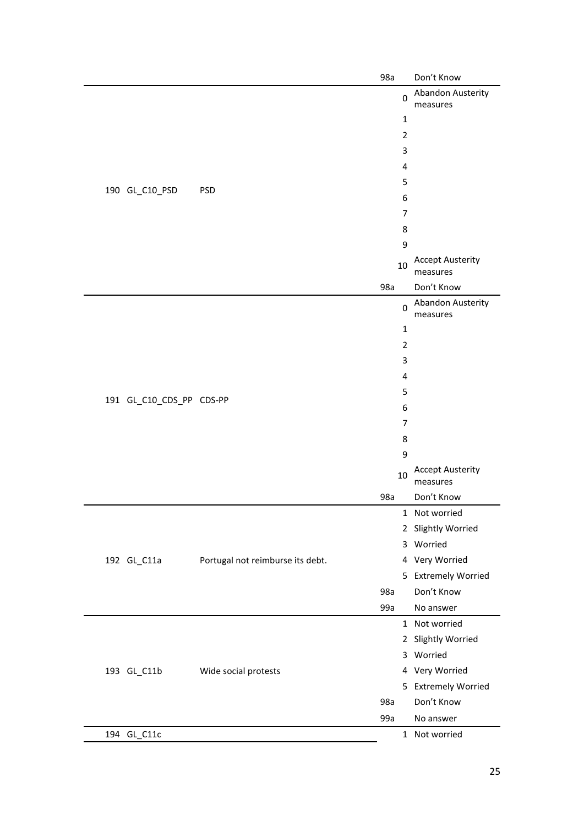|                          |                                  | 98a            | Don't Know                          |
|--------------------------|----------------------------------|----------------|-------------------------------------|
|                          |                                  | 0              | Abandon Austerity<br>measures       |
|                          |                                  | $\mathbf 1$    |                                     |
|                          |                                  | $\overline{2}$ |                                     |
|                          |                                  | 3              |                                     |
|                          |                                  | 4              |                                     |
|                          |                                  | 5              |                                     |
| 190 GL_C10_PSD           | <b>PSD</b>                       | 6              |                                     |
|                          |                                  | $\overline{7}$ |                                     |
|                          |                                  | 8              |                                     |
|                          |                                  | 9              |                                     |
|                          |                                  | 10             | <b>Accept Austerity</b>             |
|                          |                                  |                | measures                            |
|                          |                                  | 98a            | Don't Know                          |
|                          |                                  | 0              | Abandon Austerity<br>measures       |
|                          |                                  | $\mathbf 1$    |                                     |
|                          |                                  | $\overline{2}$ |                                     |
|                          |                                  | 3              |                                     |
|                          |                                  | 4              |                                     |
|                          |                                  | 5              |                                     |
| 191 GL_C10_CDS_PP CDS-PP |                                  | 6              |                                     |
|                          |                                  | $\overline{7}$ |                                     |
|                          |                                  | 8              |                                     |
|                          |                                  | 9              |                                     |
|                          |                                  | 10             | <b>Accept Austerity</b><br>measures |
|                          |                                  | 98a            | Don't Know                          |
|                          |                                  |                | 1 Not worried                       |
|                          |                                  |                | 2 Slightly Worried                  |
|                          |                                  |                | 3 Worried                           |
| 192 GL_C11a              | Portugal not reimburse its debt. |                | 4 Very Worried                      |
|                          |                                  |                | 5 Extremely Worried                 |
|                          |                                  | 98a            | Don't Know                          |
|                          |                                  | 99a            | No answer                           |
|                          |                                  |                | 1 Not worried                       |
|                          |                                  |                | 2 Slightly Worried                  |
|                          |                                  |                | 3 Worried                           |
| 193 GL_C11b              | Wide social protests             |                | 4 Very Worried                      |
|                          |                                  |                | 5 Extremely Worried                 |
|                          |                                  | 98a            | Don't Know                          |
|                          |                                  | 99a            | No answer                           |
| 194 GL_C11c              |                                  |                | 1 Not worried                       |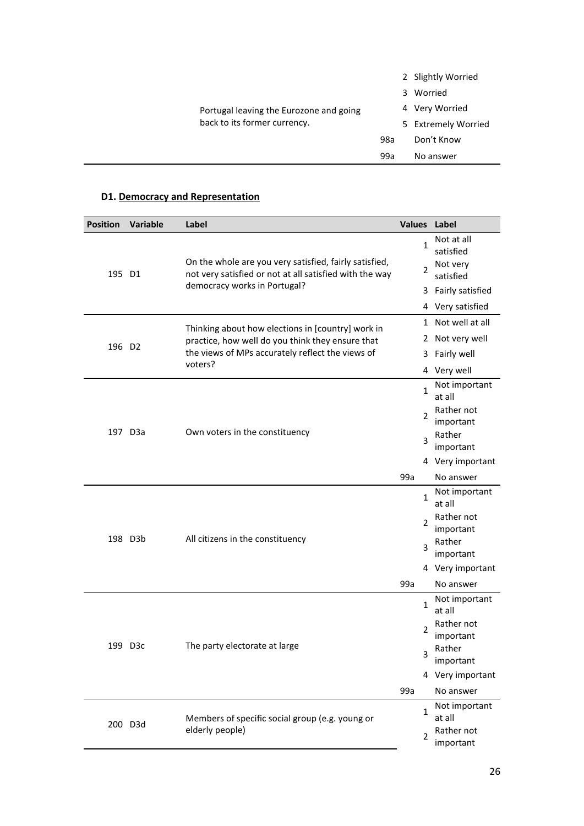|                                         |     | 2 Slightly Worried  |
|-----------------------------------------|-----|---------------------|
|                                         |     | Worried<br>3        |
| Portugal leaving the Eurozone and going |     | 4 Very Worried      |
| back to its former currency.            |     | 5 Extremely Worried |
|                                         | 98a | Don't Know          |
|                                         | 99a | No answer           |
|                                         |     |                     |

## **D1. Democracy and Representation**

| <b>Position</b>    | <b>Variable</b>                             | Label                                                                                                             |                  | Values Label                              |
|--------------------|---------------------------------------------|-------------------------------------------------------------------------------------------------------------------|------------------|-------------------------------------------|
|                    |                                             | On the whole are you very satisfied, fairly satisfied,<br>not very satisfied or not at all satisfied with the way |                  | Not at all<br>$\mathbf{1}$<br>satisfied   |
| 195 D1             |                                             |                                                                                                                   |                  | Not very<br>2<br>satisfied                |
|                    |                                             | democracy works in Portugal?                                                                                      |                  | Fairly satisfied<br>3                     |
|                    |                                             |                                                                                                                   | 4 Very satisfied |                                           |
|                    |                                             | Thinking about how elections in [country] work in                                                                 |                  | 1 Not well at all                         |
|                    |                                             | practice, how well do you think they ensure that                                                                  |                  | 2 Not very well                           |
| 196 D <sub>2</sub> |                                             | the views of MPs accurately reflect the views of                                                                  |                  | Fairly well<br>3                          |
|                    |                                             | voters?                                                                                                           |                  | 4 Very well                               |
|                    |                                             |                                                                                                                   |                  | Not important<br>$\mathbf{1}$<br>at all   |
|                    |                                             | Own voters in the constituency                                                                                    |                  | Rather not<br>2<br>important              |
|                    | 197 D3a                                     |                                                                                                                   |                  | Rather<br>3<br>important                  |
|                    |                                             |                                                                                                                   |                  | 4 Very important                          |
|                    |                                             |                                                                                                                   | 99a              | No answer                                 |
|                    | 198 D3b<br>All citizens in the constituency |                                                                                                                   |                  | Not important<br>$\mathbf{1}$<br>at all   |
|                    |                                             |                                                                                                                   |                  | Rather not<br>2<br>important              |
|                    |                                             |                                                                                                                   |                  | Rather<br>3<br>important                  |
|                    |                                             |                                                                                                                   | 4 Very important |                                           |
|                    |                                             |                                                                                                                   | 99a              | No answer                                 |
|                    |                                             |                                                                                                                   |                  | Not important<br>$\mathbf{1}$<br>at all   |
|                    |                                             |                                                                                                                   |                  | Rather not<br>2<br>important              |
|                    | 199 D3c                                     | The party electorate at large                                                                                     |                  | Rather<br>ς<br>important                  |
|                    |                                             |                                                                                                                   |                  | 4 Very important                          |
|                    |                                             |                                                                                                                   | 99a              | No answer                                 |
|                    |                                             | Members of specific social group (e.g. young or                                                                   |                  | Not important<br>$\mathbf{1}$<br>at all   |
|                    | 200 D3d                                     | elderly people)                                                                                                   |                  | Rather not<br>$\overline{2}$<br>important |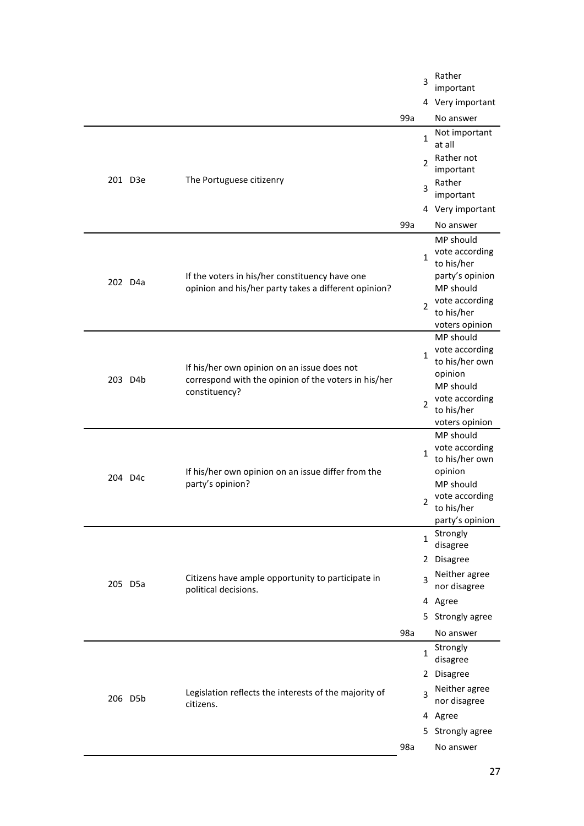|                     |                             |                                                                                                                      |     | 3              | Rather<br>important          |
|---------------------|-----------------------------|----------------------------------------------------------------------------------------------------------------------|-----|----------------|------------------------------|
|                     |                             |                                                                                                                      |     |                | 4 Very important             |
|                     |                             |                                                                                                                      | 99a |                | No answer                    |
|                     |                             |                                                                                                                      |     | 1              | Not important<br>at all      |
|                     |                             |                                                                                                                      |     | 2              | Rather not                   |
|                     | 201 D3e                     |                                                                                                                      |     |                | important                    |
|                     |                             | The Portuguese citizenry                                                                                             |     | 3              | Rather<br>important          |
|                     |                             |                                                                                                                      |     |                | 4 Very important             |
|                     |                             |                                                                                                                      | 99a |                | No answer                    |
|                     |                             |                                                                                                                      |     |                | MP should                    |
|                     |                             |                                                                                                                      |     | $\mathbf{1}$   | vote according<br>to his/her |
|                     |                             | If the voters in his/her constituency have one                                                                       |     |                | party's opinion              |
| 202 D <sub>4a</sub> |                             | opinion and his/her party takes a different opinion?                                                                 |     |                | MP should                    |
|                     |                             |                                                                                                                      |     | 2              | vote according               |
|                     |                             |                                                                                                                      |     |                | to his/her<br>voters opinion |
|                     |                             |                                                                                                                      |     |                | MP should                    |
|                     |                             |                                                                                                                      |     | 1              | vote according               |
|                     | 203 D4b                     | If his/her own opinion on an issue does not<br>correspond with the opinion of the voters in his/her<br>constituency? |     |                | to his/her own<br>opinion    |
|                     |                             |                                                                                                                      |     |                | MP should                    |
|                     |                             |                                                                                                                      |     | $\overline{2}$ | vote according               |
|                     |                             |                                                                                                                      |     |                | to his/her                   |
|                     |                             |                                                                                                                      |     |                | voters opinion<br>MP should  |
|                     | 204 D4c<br>party's opinion? | If his/her own opinion on an issue differ from the                                                                   |     | $\mathbf{1}$   | vote according               |
|                     |                             |                                                                                                                      |     |                | to his/her own               |
|                     |                             |                                                                                                                      |     |                | opinion<br>MP should         |
|                     |                             |                                                                                                                      |     |                | vote according               |
|                     |                             |                                                                                                                      |     | 2              | to his/her                   |
|                     |                             |                                                                                                                      |     |                | party's opinion              |
|                     |                             |                                                                                                                      |     | $\mathbf{1}$   | Strongly<br>disagree         |
|                     |                             |                                                                                                                      |     |                | 2 Disagree                   |
|                     |                             | Citizens have ample opportunity to participate in                                                                    |     | 3              | Neither agree                |
|                     | 205 D5a                     | political decisions.                                                                                                 |     |                | nor disagree                 |
|                     |                             |                                                                                                                      |     |                | 4 Agree                      |
|                     |                             |                                                                                                                      |     |                | 5 Strongly agree             |
|                     |                             |                                                                                                                      | 98a |                | No answer                    |
|                     |                             |                                                                                                                      |     | $\mathbf{1}$   | Strongly<br>disagree         |
|                     |                             |                                                                                                                      |     |                | 2 Disagree                   |
|                     |                             | Legislation reflects the interests of the majority of                                                                |     |                | Neither agree                |
|                     | 206 D5b                     | citizens.                                                                                                            |     | 3              | nor disagree                 |
|                     |                             |                                                                                                                      |     |                | 4 Agree                      |
|                     |                             |                                                                                                                      |     |                | 5 Strongly agree             |
|                     |                             |                                                                                                                      | 98a |                | No answer                    |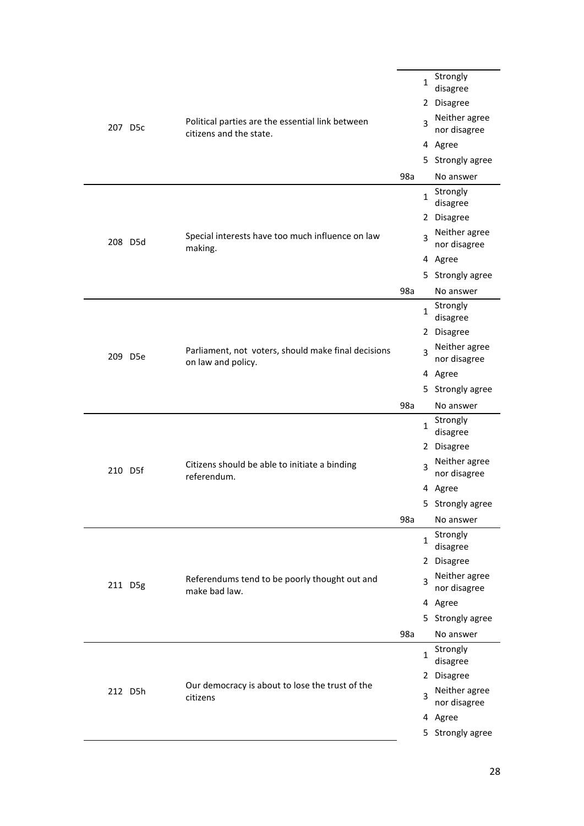|  | 207 D5c | Political parties are the essential link between<br>citizens and the state. |     | $\mathbf{1}$<br>3 | Strongly<br>disagree<br>2 Disagree<br>Neither agree<br>nor disagree |
|--|---------|-----------------------------------------------------------------------------|-----|-------------------|---------------------------------------------------------------------|
|  |         |                                                                             |     |                   | 4 Agree                                                             |
|  |         |                                                                             |     |                   | 5 Strongly agree                                                    |
|  |         |                                                                             | 98a |                   | No answer                                                           |
|  |         |                                                                             |     | $\mathbf{1}$      | Strongly<br>disagree                                                |
|  |         |                                                                             |     |                   | 2 Disagree                                                          |
|  | 208 D5d | Special interests have too much influence on law<br>making.                 |     | 3                 | Neither agree<br>nor disagree                                       |
|  |         |                                                                             |     |                   | 4 Agree                                                             |
|  |         |                                                                             |     |                   | 5 Strongly agree                                                    |
|  |         |                                                                             | 98a |                   | No answer                                                           |
|  |         |                                                                             |     | $\mathbf{1}$      | Strongly<br>disagree                                                |
|  | 209 D5e | Parliament, not voters, should make final decisions<br>on law and policy.   |     |                   | 2 Disagree                                                          |
|  |         |                                                                             |     | 3                 | Neither agree<br>nor disagree                                       |
|  |         |                                                                             |     |                   | 4 Agree                                                             |
|  |         |                                                                             |     |                   | 5 Strongly agree                                                    |
|  |         |                                                                             | 98a |                   | No answer                                                           |
|  | 210 D5f | Citizens should be able to initiate a binding<br>referendum.                |     | $\mathbf{1}$      | Strongly<br>disagree                                                |
|  |         |                                                                             |     |                   | 2 Disagree                                                          |
|  |         |                                                                             |     | 3                 | Neither agree<br>nor disagree                                       |
|  |         |                                                                             |     |                   | 4 Agree                                                             |
|  |         |                                                                             |     |                   | 5 Strongly agree                                                    |
|  |         |                                                                             | 98a |                   | No answer                                                           |
|  |         |                                                                             |     | $\mathbf{1}$      | Strongly<br>disagree                                                |
|  |         |                                                                             |     |                   | 2 Disagree                                                          |
|  | 211 D5g | Referendums tend to be poorly thought out and<br>make bad law.              |     | 3                 | Neither agree<br>nor disagree                                       |
|  |         |                                                                             |     |                   | 4 Agree                                                             |
|  |         |                                                                             |     |                   | 5 Strongly agree                                                    |
|  |         |                                                                             | 98a |                   | No answer                                                           |
|  |         |                                                                             |     | 1                 | Strongly<br>disagree                                                |
|  |         |                                                                             |     |                   | 2 Disagree                                                          |
|  | 212 D5h | Our democracy is about to lose the trust of the<br>citizens                 |     |                   |                                                                     |
|  |         |                                                                             |     | 3                 | Neither agree<br>nor disagree                                       |
|  |         |                                                                             |     |                   | 4 Agree                                                             |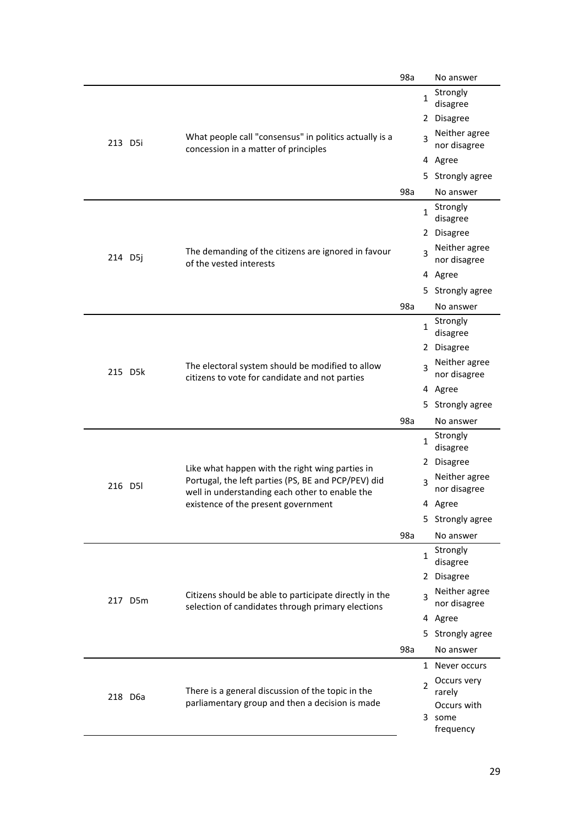|         |                                                                                                                                                     |                                                                                                             | 98a |              | No answer                     |
|---------|-----------------------------------------------------------------------------------------------------------------------------------------------------|-------------------------------------------------------------------------------------------------------------|-----|--------------|-------------------------------|
|         |                                                                                                                                                     |                                                                                                             |     | 1            | Strongly<br>disagree          |
|         |                                                                                                                                                     |                                                                                                             |     |              | 2 Disagree                    |
|         | 213 D5i                                                                                                                                             | What people call "consensus" in politics actually is a<br>concession in a matter of principles              |     | 3            | Neither agree<br>nor disagree |
|         |                                                                                                                                                     |                                                                                                             |     |              | 4 Agree                       |
|         |                                                                                                                                                     |                                                                                                             |     |              | 5 Strongly agree              |
|         |                                                                                                                                                     |                                                                                                             | 98a |              | No answer                     |
|         |                                                                                                                                                     |                                                                                                             |     | 1            | Strongly<br>disagree          |
|         |                                                                                                                                                     |                                                                                                             |     |              | 2 Disagree                    |
| 214 D5j |                                                                                                                                                     | The demanding of the citizens are ignored in favour<br>of the vested interests                              |     | 3            | Neither agree<br>nor disagree |
|         |                                                                                                                                                     |                                                                                                             |     |              | 4 Agree                       |
|         |                                                                                                                                                     |                                                                                                             |     |              | 5 Strongly agree              |
|         |                                                                                                                                                     |                                                                                                             | 98a |              | No answer                     |
|         |                                                                                                                                                     | The electoral system should be modified to allow<br>citizens to vote for candidate and not parties          |     | $\mathbf{1}$ | Strongly<br>disagree          |
|         |                                                                                                                                                     |                                                                                                             |     |              | 2 Disagree                    |
|         | 215 D5k                                                                                                                                             |                                                                                                             |     | 3            | Neither agree<br>nor disagree |
|         |                                                                                                                                                     |                                                                                                             |     |              | 4 Agree                       |
|         |                                                                                                                                                     |                                                                                                             |     |              | 5 Strongly agree              |
|         |                                                                                                                                                     |                                                                                                             | 98a |              | No answer                     |
|         | Like what happen with the right wing parties in<br>216 D5I<br>well in understanding each other to enable the<br>existence of the present government | Portugal, the left parties (PS, BE and PCP/PEV) did                                                         |     | 1            | Strongly<br>disagree          |
|         |                                                                                                                                                     |                                                                                                             |     | 2            | <b>Disagree</b>               |
|         |                                                                                                                                                     |                                                                                                             |     | 3            | Neither agree<br>nor disagree |
|         |                                                                                                                                                     |                                                                                                             |     |              | 4 Agree                       |
|         |                                                                                                                                                     |                                                                                                             |     |              | 5 Strongly agree              |
|         |                                                                                                                                                     |                                                                                                             | 98a |              | No answer                     |
|         |                                                                                                                                                     |                                                                                                             |     | $\mathbf{1}$ | Strongly<br>disagree          |
|         |                                                                                                                                                     |                                                                                                             |     |              | 2 Disagree                    |
|         | 217 D5m                                                                                                                                             | Citizens should be able to participate directly in the<br>selection of candidates through primary elections |     | 3            | Neither agree<br>nor disagree |
|         |                                                                                                                                                     |                                                                                                             |     |              | 4 Agree                       |
|         |                                                                                                                                                     |                                                                                                             |     |              | 5 Strongly agree              |
|         |                                                                                                                                                     |                                                                                                             | 98a |              | No answer                     |
|         |                                                                                                                                                     |                                                                                                             |     |              | 1 Never occurs                |
|         |                                                                                                                                                     |                                                                                                             |     | 2            | Occurs very                   |
|         | 218 D6a                                                                                                                                             | There is a general discussion of the topic in the<br>parliamentary group and then a decision is made        |     |              | rarely<br>Occurs with         |
|         |                                                                                                                                                     |                                                                                                             |     |              | 3 some                        |
|         |                                                                                                                                                     |                                                                                                             |     |              | frequency                     |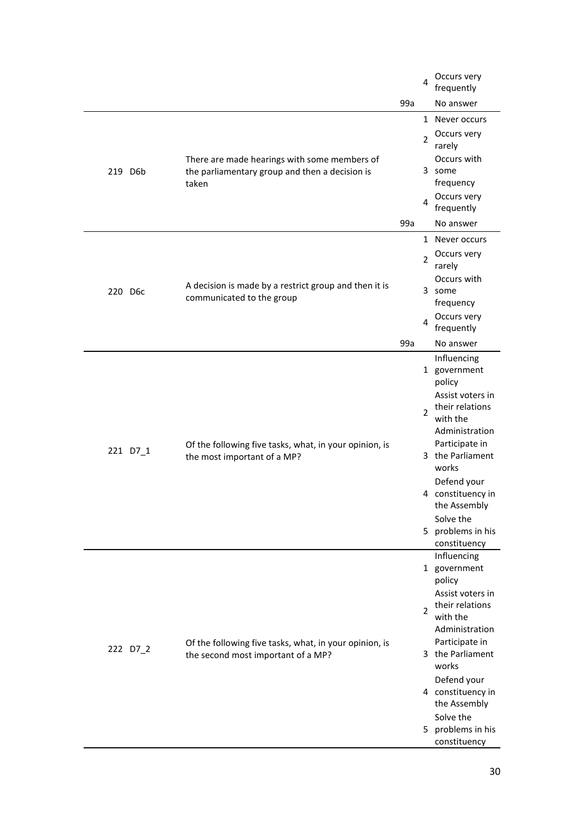|          |                                                                                                         |     | 4              | Occurs very<br>frequently           |
|----------|---------------------------------------------------------------------------------------------------------|-----|----------------|-------------------------------------|
|          |                                                                                                         | 99a |                | No answer                           |
|          |                                                                                                         |     |                | 1 Never occurs                      |
|          |                                                                                                         |     | $\overline{2}$ | Occurs very<br>rarely               |
| 219 D6b  | There are made hearings with some members of<br>the parliamentary group and then a decision is<br>taken |     |                | Occurs with<br>3 some<br>frequency  |
|          |                                                                                                         |     | 4              | Occurs very<br>frequently           |
|          |                                                                                                         | 99a |                | No answer                           |
|          |                                                                                                         |     |                | 1 Never occurs                      |
|          |                                                                                                         |     | $\overline{2}$ | Occurs very<br>rarely               |
|          | A decision is made by a restrict group and then it is                                                   |     |                | Occurs with                         |
| 220 D6c  | communicated to the group                                                                               |     |                | 3 some<br>frequency                 |
|          |                                                                                                         |     | $\overline{4}$ | Occurs very                         |
|          |                                                                                                         |     |                | frequently                          |
|          |                                                                                                         | 99a |                | No answer                           |
|          | Of the following five tasks, what, in your opinion, is<br>the most important of a MP?                   |     |                | Influencing<br>1 government         |
|          |                                                                                                         |     |                | policy                              |
|          |                                                                                                         |     |                | Assist voters in<br>their relations |
|          |                                                                                                         |     | 2              | with the                            |
|          |                                                                                                         |     |                | Administration                      |
| 221 D7_1 |                                                                                                         |     |                | Participate in<br>3 the Parliament  |
|          |                                                                                                         |     |                | works                               |
|          |                                                                                                         |     |                | Defend your                         |
|          |                                                                                                         |     |                | 4 constituency in<br>the Assembly   |
|          |                                                                                                         |     |                | Solve the                           |
|          |                                                                                                         |     |                | 5 problems in his                   |
|          |                                                                                                         |     |                | constituency<br>Influencing         |
|          |                                                                                                         |     |                | 1 government                        |
|          |                                                                                                         |     |                | policy                              |
|          |                                                                                                         |     |                | Assist voters in<br>their relations |
|          |                                                                                                         |     | $\overline{2}$ | with the                            |
|          |                                                                                                         |     |                | Administration                      |
| 222 D7_2 | Of the following five tasks, what, in your opinion, is<br>the second most important of a MP?            |     |                | Participate in<br>3 the Parliament  |
|          |                                                                                                         |     |                | works                               |
|          |                                                                                                         |     |                | Defend your                         |
|          |                                                                                                         |     |                | 4 constituency in<br>the Assembly   |
|          |                                                                                                         |     |                | Solve the                           |
|          |                                                                                                         |     |                | 5 problems in his                   |
|          |                                                                                                         |     |                | constituency                        |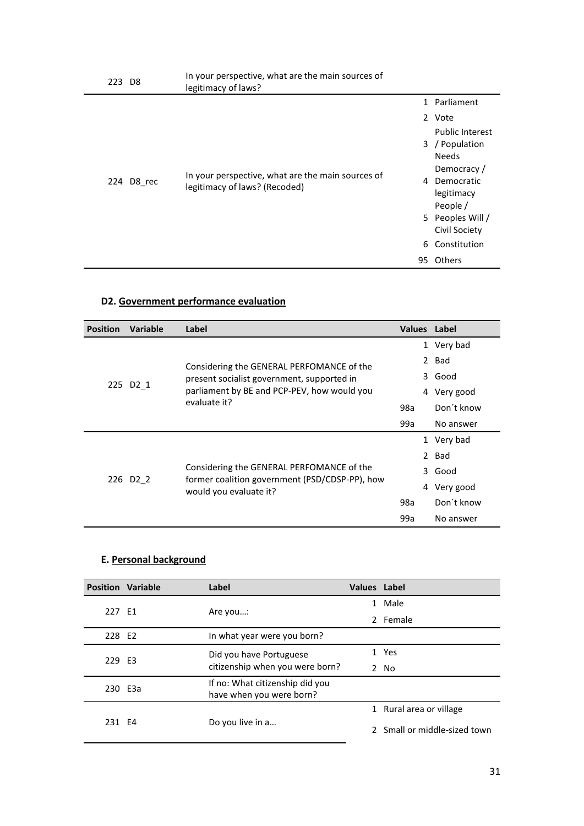|  | 223 D8     | In your perspective, what are the main sources of<br>legitimacy of laws?           |                                                                                                                      |
|--|------------|------------------------------------------------------------------------------------|----------------------------------------------------------------------------------------------------------------------|
|  |            |                                                                                    | 1 Parliament                                                                                                         |
|  |            |                                                                                    | 2 Vote                                                                                                               |
|  | 224 D8_rec | In your perspective, what are the main sources of<br>legitimacy of laws? (Recoded) | <b>Public Interest</b><br>3 / Population<br><b>Needs</b><br>Democracy /<br>Democratic<br>4<br>legitimacy<br>People / |
|  |            |                                                                                    | 5 Peoples Will /                                                                                                     |
|  |            |                                                                                    | Civil Society                                                                                                        |
|  |            |                                                                                    | Constitution<br>6.                                                                                                   |
|  |            | 95                                                                                 | Others                                                                                                               |

# **D2. Government performance evaluation**

| <b>Position</b> | Variable                                                                        | Label                                                                    |                | <b>Values</b> Label |
|-----------------|---------------------------------------------------------------------------------|--------------------------------------------------------------------------|----------------|---------------------|
|                 |                                                                                 |                                                                          |                | 1 Very bad          |
|                 |                                                                                 | Considering the GENERAL PERFOMANCE of the                                |                | 2 Bad               |
|                 |                                                                                 | present socialist government, supported in                               |                | 3 Good              |
| 225             | D <sub>2</sub> 1<br>parliament by BE and PCP-PEV, how would you<br>evaluate it? |                                                                          | Very good<br>4 |                     |
|                 |                                                                                 | 98a                                                                      | Don't know     |                     |
|                 |                                                                                 |                                                                          | 99a            | No answer           |
|                 |                                                                                 |                                                                          |                | 1 Very bad          |
|                 |                                                                                 |                                                                          |                | 2 Bad               |
|                 | Considering the GENERAL PERFOMANCE of the                                       |                                                                          |                | 3 Good              |
|                 | 226 D <sub>2</sub> 2                                                            | former coalition government (PSD/CDSP-PP), how<br>would you evaluate it? |                | Very good<br>4      |
|                 |                                                                                 |                                                                          | 98a            | Don't know          |
|                 |                                                                                 |                                                                          | 99a            | No answer           |

## **E. Personal background**

|         | <b>Position Variable</b> | Label                           | Values Label                 |                         |  |  |  |
|---------|--------------------------|---------------------------------|------------------------------|-------------------------|--|--|--|
| 227 E1  |                          |                                 |                              | 1 Male                  |  |  |  |
|         |                          | Are you:                        |                              | 2 Female                |  |  |  |
| 228 E2  |                          | In what year were you born?     |                              |                         |  |  |  |
| 229 E3  |                          | Did you have Portuguese         |                              | 1 Yes                   |  |  |  |
|         |                          | citizenship when you were born? |                              | 2 No                    |  |  |  |
| 230 E3a |                          | If no: What citizenship did you |                              |                         |  |  |  |
|         |                          | have when you were born?        |                              |                         |  |  |  |
|         |                          |                                 |                              | 1 Rural area or village |  |  |  |
| 231 F4  |                          | Do you live in a                | 2 Small or middle-sized town |                         |  |  |  |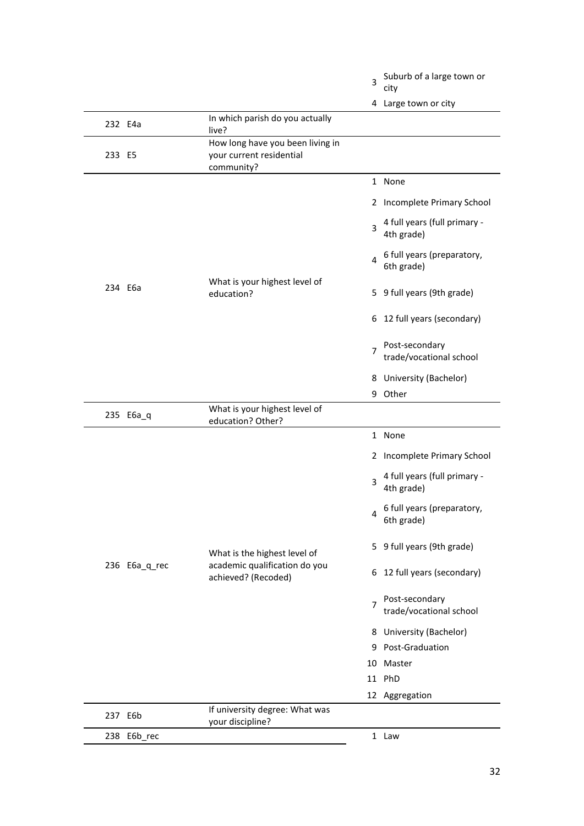|         |               |                                                                                      | 3 | Suburb of a large town or<br>city          |
|---------|---------------|--------------------------------------------------------------------------------------|---|--------------------------------------------|
|         |               |                                                                                      |   | 4 Large town or city                       |
| 232 E4a |               | In which parish do you actually<br>live?                                             |   |                                            |
| 233 E5  |               | How long have you been living in<br>your current residential<br>community?           |   |                                            |
|         |               | What is your highest level of<br>education?                                          |   | 1 None                                     |
|         |               |                                                                                      |   | 2 Incomplete Primary School                |
|         |               |                                                                                      | 3 | 4 full years (full primary -<br>4th grade) |
|         |               |                                                                                      | 4 | 6 full years (preparatory,<br>6th grade)   |
| 234 E6a |               |                                                                                      |   | 5 9 full years (9th grade)                 |
|         |               |                                                                                      |   | 6 12 full years (secondary)                |
|         |               |                                                                                      |   | Post-secondary<br>trade/vocational school  |
|         |               |                                                                                      |   | 8 University (Bachelor)                    |
|         |               |                                                                                      |   | 9 Other                                    |
|         | 235 E6a_q     | What is your highest level of<br>education? Other?                                   |   |                                            |
|         |               |                                                                                      |   | 1 None                                     |
|         | 236 E6a_q_rec | What is the highest level of<br>academic qualification do you<br>achieved? (Recoded) |   | 2 Incomplete Primary School                |
|         |               |                                                                                      | 3 | 4 full years (full primary -<br>4th grade) |
|         |               |                                                                                      | 4 | 6 full years (preparatory,<br>6th grade)   |
|         |               |                                                                                      |   | 5 9 full years (9th grade)                 |
|         |               |                                                                                      |   | 6 12 full years (secondary)                |
|         |               |                                                                                      |   | Post-secondary<br>trade/vocational school  |
|         |               |                                                                                      |   | 8 University (Bachelor)                    |
|         |               |                                                                                      |   | 9 Post-Graduation                          |
|         |               |                                                                                      |   | 10 Master                                  |
|         |               |                                                                                      |   | 11 PhD                                     |
|         |               |                                                                                      |   | 12 Aggregation                             |
| 237 E6b |               | If university degree: What was<br>your discipline?                                   |   |                                            |
|         | 238 E6b_rec   |                                                                                      |   | 1 Law                                      |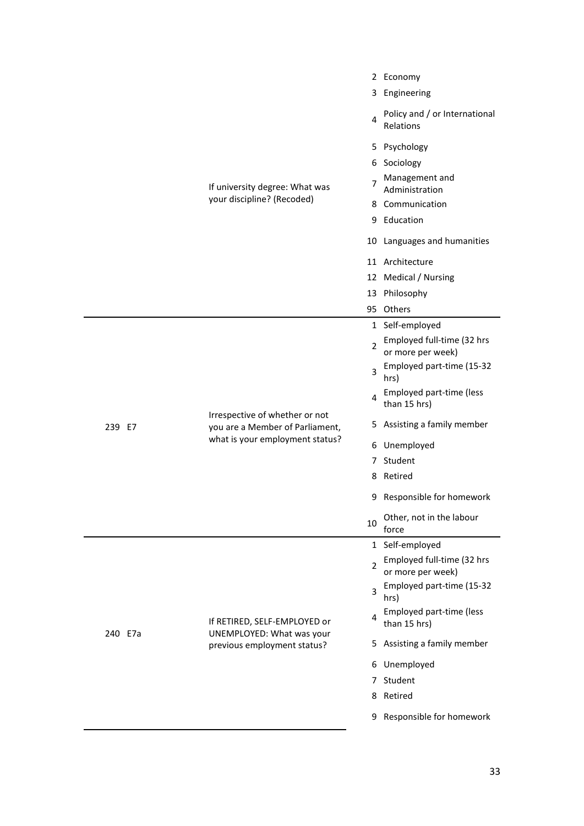|         |                                                                                                      |                | 2 Economy                                       |
|---------|------------------------------------------------------------------------------------------------------|----------------|-------------------------------------------------|
|         | If university degree: What was<br>your discipline? (Recoded)                                         | 3.             | Engineering                                     |
|         |                                                                                                      | 4              | Policy and / or International<br>Relations      |
|         |                                                                                                      |                | 5 Psychology                                    |
|         |                                                                                                      |                | 6 Sociology                                     |
|         |                                                                                                      | 7              | Management and<br>Administration                |
|         |                                                                                                      |                | 8 Communication                                 |
|         |                                                                                                      |                | 9 Education                                     |
|         |                                                                                                      |                | 10 Languages and humanities                     |
|         |                                                                                                      |                | 11 Architecture                                 |
|         |                                                                                                      |                | 12 Medical / Nursing                            |
|         |                                                                                                      |                | 13 Philosophy                                   |
|         |                                                                                                      |                | 95 Others                                       |
|         |                                                                                                      |                | 1 Self-employed                                 |
|         | Irrespective of whether or not<br>you are a Member of Parliament,<br>what is your employment status? | $\overline{2}$ | Employed full-time (32 hrs<br>or more per week) |
|         |                                                                                                      | 3              | Employed part-time (15-32<br>hrs)               |
|         |                                                                                                      | 4              | Employed part-time (less<br>than 15 hrs)        |
| 239 E7  |                                                                                                      |                | 5 Assisting a family member                     |
|         |                                                                                                      |                | 6 Unemployed                                    |
|         |                                                                                                      | 7              | Student                                         |
|         |                                                                                                      |                | 8 Retired                                       |
|         |                                                                                                      |                | 9 Responsible for homework                      |
|         |                                                                                                      | 10             | Other, not in the labour<br>force               |
|         | If RETIRED, SELF-EMPLOYED or<br>UNEMPLOYED: What was your<br>previous employment status?             |                | 1 Self-employed                                 |
|         |                                                                                                      | $\overline{2}$ | Employed full-time (32 hrs<br>or more per week) |
|         |                                                                                                      | 3              | Employed part-time (15-32<br>hrs)               |
|         |                                                                                                      | 4              | Employed part-time (less<br>than 15 hrs)        |
| 240 E7a |                                                                                                      | 5              | Assisting a family member                       |
|         |                                                                                                      | 6              | Unemployed                                      |
|         |                                                                                                      | 7              | Student                                         |
|         |                                                                                                      |                | 8 Retired                                       |
|         |                                                                                                      |                | 9 Responsible for homework                      |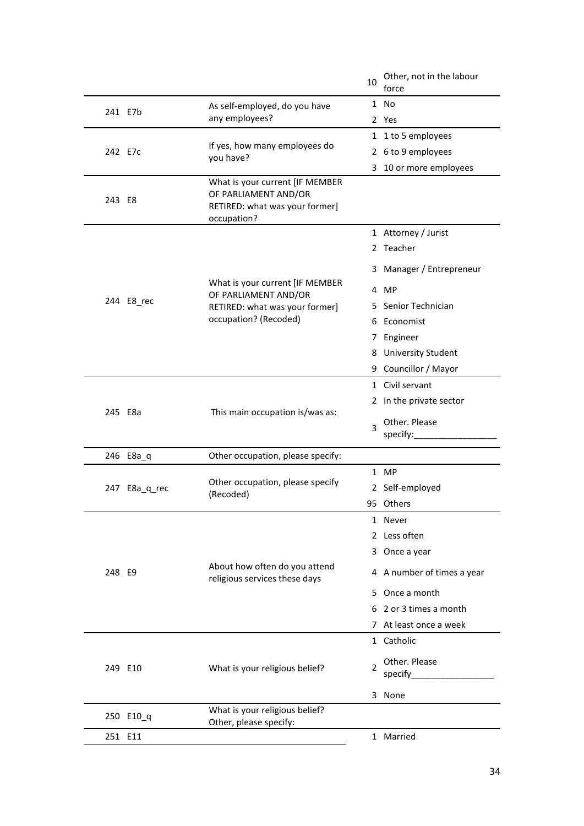|         |               |                                                                                                                 | 10 | Other, not in the labour<br>force |
|---------|---------------|-----------------------------------------------------------------------------------------------------------------|----|-----------------------------------|
|         |               | As self-employed, do you have                                                                                   |    | 1 No                              |
| 241 E7b |               | any employees?                                                                                                  |    | 2 Yes                             |
| 242 E7c |               |                                                                                                                 |    | 1 1 to 5 employees                |
|         |               | If yes, how many employees do<br>you have?                                                                      |    | 2 6 to 9 employees                |
|         |               |                                                                                                                 | 3  | 10 or more employees              |
| 243 E8  |               | What is your current [IF MEMBER<br>OF PARLIAMENT AND/OR<br>RETIRED: what was your former]<br>occupation?        |    |                                   |
|         |               |                                                                                                                 |    | 1 Attorney / Jurist               |
|         |               |                                                                                                                 |    | 2 Teacher                         |
|         |               |                                                                                                                 |    | 3 Manager / Entrepreneur          |
|         |               | What is your current [IF MEMBER<br>OF PARLIAMENT AND/OR                                                         |    | 4 MP                              |
|         | 244 E8_rec    | RETIRED: what was your former]                                                                                  | 5. | Senior Technician                 |
|         |               | occupation? (Recoded)                                                                                           |    | 6 Economist                       |
|         |               |                                                                                                                 |    | 7 Engineer                        |
|         |               |                                                                                                                 |    | 8 University Student              |
|         |               |                                                                                                                 |    | 9 Councillor / Mayor              |
|         |               |                                                                                                                 |    | 1 Civil servant                   |
|         |               |                                                                                                                 |    | 2 In the private sector           |
|         | 245 E8a       | This main occupation is/was as:                                                                                 | 3  | Other. Please<br>specify:         |
|         | 246 E8a_q     | Other occupation, please specify:                                                                               |    |                                   |
|         | 247 E8a_q_rec | Other occupation, please specify<br>(Recoded)<br>About how often do you attend<br>religious services these days |    | 1 MP                              |
|         |               |                                                                                                                 |    | 2 Self-employed                   |
|         |               |                                                                                                                 |    | 95 Others                         |
|         |               |                                                                                                                 |    | 1 Never                           |
|         |               |                                                                                                                 |    | 2 Less often                      |
|         |               |                                                                                                                 |    | 3 Once a year                     |
| 248 E9  |               |                                                                                                                 |    | 4 A number of times a year        |
|         |               |                                                                                                                 |    | 5 Once a month                    |
|         |               |                                                                                                                 |    | 6 2 or 3 times a month            |
|         |               |                                                                                                                 |    | 7 At least once a week            |
|         |               |                                                                                                                 |    | 1 Catholic                        |
|         | 249 E10       | What is your religious belief?                                                                                  | 2  | Other. Please<br>specify_         |
|         |               |                                                                                                                 |    | 3 None                            |
|         |               | What is your religious belief?                                                                                  |    |                                   |
|         | 250 E10_q     | Other, please specify:                                                                                          |    |                                   |
|         | 251 E11       |                                                                                                                 |    | 1 Married                         |